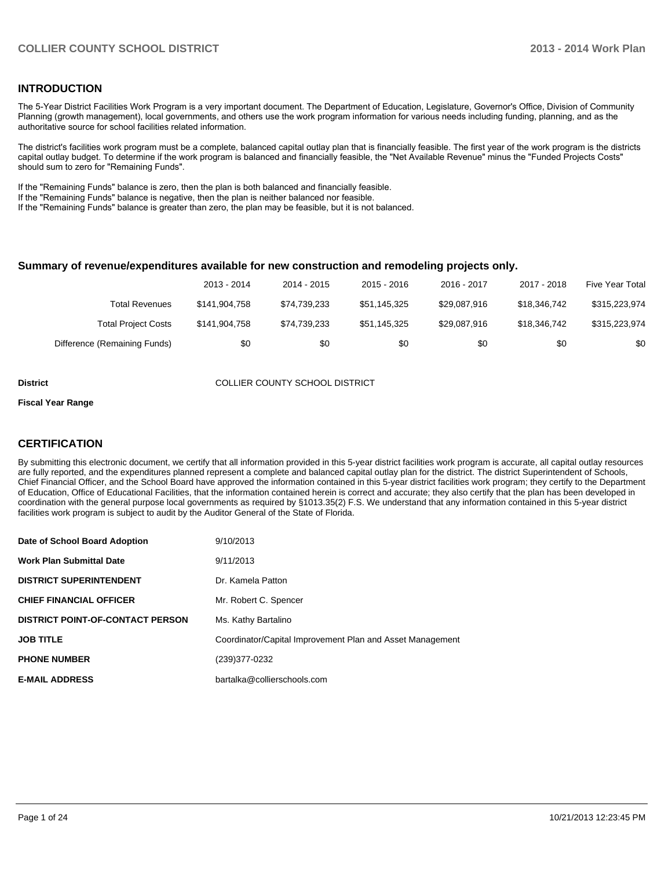#### **INTRODUCTION**

The 5-Year District Facilities Work Program is a very important document. The Department of Education, Legislature, Governor's Office, Division of Community Planning (growth management), local governments, and others use the work program information for various needs including funding, planning, and as the authoritative source for school facilities related information.

The district's facilities work program must be a complete, balanced capital outlay plan that is financially feasible. The first year of the work program is the districts capital outlay budget. To determine if the work program is balanced and financially feasible, the "Net Available Revenue" minus the "Funded Projects Costs" should sum to zero for "Remaining Funds".

If the "Remaining Funds" balance is zero, then the plan is both balanced and financially feasible.

If the "Remaining Funds" balance is negative, then the plan is neither balanced nor feasible.

If the "Remaining Funds" balance is greater than zero, the plan may be feasible, but it is not balanced.

#### **Summary of revenue/expenditures available for new construction and remodeling projects only.**

| Five Year Total | 2017 - 2018  | 2016 - 2017  | $2015 - 2016$ | 2014 - 2015  | 2013 - 2014   |                              |
|-----------------|--------------|--------------|---------------|--------------|---------------|------------------------------|
| \$315,223,974   | \$18,346,742 | \$29.087.916 | \$51.145.325  | \$74.739.233 | \$141.904.758 | Total Revenues               |
| \$315,223,974   | \$18.346.742 | \$29.087.916 | \$51.145.325  | \$74.739.233 | \$141,904,758 | <b>Total Project Costs</b>   |
| \$0             | \$0          | \$0          | \$0           | \$0          | \$0           | Difference (Remaining Funds) |

**District COLLIER COUNTY SCHOOL DISTRICT** 

#### **Fiscal Year Range**

#### **CERTIFICATION**

By submitting this electronic document, we certify that all information provided in this 5-year district facilities work program is accurate, all capital outlay resources are fully reported, and the expenditures planned represent a complete and balanced capital outlay plan for the district. The district Superintendent of Schools, Chief Financial Officer, and the School Board have approved the information contained in this 5-year district facilities work program; they certify to the Department of Education, Office of Educational Facilities, that the information contained herein is correct and accurate; they also certify that the plan has been developed in coordination with the general purpose local governments as required by §1013.35(2) F.S. We understand that any information contained in this 5-year district facilities work program is subject to audit by the Auditor General of the State of Florida.

| Date of School Board Adoption           | 9/10/2013                                                 |
|-----------------------------------------|-----------------------------------------------------------|
| <b>Work Plan Submittal Date</b>         | 9/11/2013                                                 |
| <b>DISTRICT SUPERINTENDENT</b>          | Dr. Kamela Patton                                         |
| <b>CHIEF FINANCIAL OFFICER</b>          | Mr. Robert C. Spencer                                     |
| <b>DISTRICT POINT-OF-CONTACT PERSON</b> | Ms. Kathy Bartalino                                       |
| <b>JOB TITLE</b>                        | Coordinator/Capital Improvement Plan and Asset Management |
| <b>PHONE NUMBER</b>                     | (239)377-0232                                             |
| <b>E-MAIL ADDRESS</b>                   | bartalka@collierschools.com                               |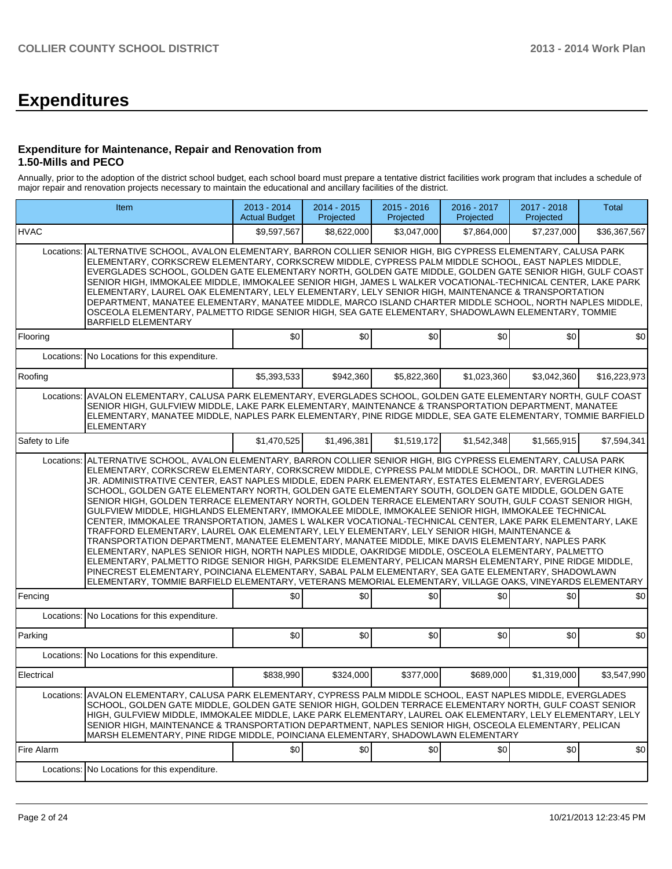# **Expenditures**

#### **Expenditure for Maintenance, Repair and Renovation from 1.50-Mills and PECO**

Annually, prior to the adoption of the district school budget, each school board must prepare a tentative district facilities work program that includes a schedule of major repair and renovation projects necessary to maintain the educational and ancillary facilities of the district.

| Item                                                                                                                                                                                                                                                                                                                                                                                                                                                                                                                                       |                                                                                                                                                                                                                                                                                                                                                                                                                                                                                                                                                                                                                                                                                                                                                                                                                                                                                                                                                                                                                                                                                                                                                                                                                                                                                                                                                                                                        | 2013 - 2014<br><b>Actual Budget</b> | 2014 - 2015<br>Projected | 2015 - 2016<br>Projected | 2016 - 2017<br>Projected | 2017 - 2018<br>Projected | Total        |  |  |  |  |
|--------------------------------------------------------------------------------------------------------------------------------------------------------------------------------------------------------------------------------------------------------------------------------------------------------------------------------------------------------------------------------------------------------------------------------------------------------------------------------------------------------------------------------------------|--------------------------------------------------------------------------------------------------------------------------------------------------------------------------------------------------------------------------------------------------------------------------------------------------------------------------------------------------------------------------------------------------------------------------------------------------------------------------------------------------------------------------------------------------------------------------------------------------------------------------------------------------------------------------------------------------------------------------------------------------------------------------------------------------------------------------------------------------------------------------------------------------------------------------------------------------------------------------------------------------------------------------------------------------------------------------------------------------------------------------------------------------------------------------------------------------------------------------------------------------------------------------------------------------------------------------------------------------------------------------------------------------------|-------------------------------------|--------------------------|--------------------------|--------------------------|--------------------------|--------------|--|--|--|--|
| <b>HVAC</b>                                                                                                                                                                                                                                                                                                                                                                                                                                                                                                                                |                                                                                                                                                                                                                                                                                                                                                                                                                                                                                                                                                                                                                                                                                                                                                                                                                                                                                                                                                                                                                                                                                                                                                                                                                                                                                                                                                                                                        | \$9,597,567                         | \$8,622,000              | \$3,047,000              | \$7,864,000              | \$7,237,000              | \$36,367,567 |  |  |  |  |
|                                                                                                                                                                                                                                                                                                                                                                                                                                                                                                                                            | Locations: IALTERNATIVE SCHOOL. AVALON ELEMENTARY. BARRON COLLIER SENIOR HIGH. BIG CYPRESS ELEMENTARY. CALUSA PARK<br>ELEMENTARY, CORKSCREW ELEMENTARY, CORKSCREW MIDDLE, CYPRESS PALM MIDDLE SCHOOL, EAST NAPLES MIDDLE,<br>EVERGLADES SCHOOL, GOLDEN GATE ELEMENTARY NORTH, GOLDEN GATE MIDDLE, GOLDEN GATE SENIOR HIGH, GULF COAST<br>SENIOR HIGH, IMMOKALEE MIDDLE, IMMOKALEE SENIOR HIGH, JAMES L WALKER VOCATIONAL-TECHNICAL CENTER, LAKE PARK<br>ELEMENTARY, LAUREL OAK ELEMENTARY, LELY ELEMENTARY, LELY SENIOR HIGH, MAINTENANCE & TRANSPORTATION<br>DEPARTMENT, MANATEE ELEMENTARY, MANATEE MIDDLE, MARCO ISLAND CHARTER MIDDLE SCHOOL, NORTH NAPLES MIDDLE,<br>OSCEOLA ELEMENTARY, PALMETTO RIDGE SENIOR HIGH, SEA GATE ELEMENTARY, SHADOWLAWN ELEMENTARY, TOMMIE<br><b>BARFIELD ELEMENTARY</b>                                                                                                                                                                                                                                                                                                                                                                                                                                                                                                                                                                                             |                                     |                          |                          |                          |                          |              |  |  |  |  |
| Flooring                                                                                                                                                                                                                                                                                                                                                                                                                                                                                                                                   |                                                                                                                                                                                                                                                                                                                                                                                                                                                                                                                                                                                                                                                                                                                                                                                                                                                                                                                                                                                                                                                                                                                                                                                                                                                                                                                                                                                                        | \$0                                 | \$0                      | \$0                      | \$0                      | \$0                      | \$0          |  |  |  |  |
|                                                                                                                                                                                                                                                                                                                                                                                                                                                                                                                                            | Locations: No Locations for this expenditure.                                                                                                                                                                                                                                                                                                                                                                                                                                                                                                                                                                                                                                                                                                                                                                                                                                                                                                                                                                                                                                                                                                                                                                                                                                                                                                                                                          |                                     |                          |                          |                          |                          |              |  |  |  |  |
| Roofing                                                                                                                                                                                                                                                                                                                                                                                                                                                                                                                                    |                                                                                                                                                                                                                                                                                                                                                                                                                                                                                                                                                                                                                                                                                                                                                                                                                                                                                                                                                                                                                                                                                                                                                                                                                                                                                                                                                                                                        | \$5,393,533                         | \$942,360                | \$5,822,360              | \$1,023,360              | \$3,042,360              | \$16,223,973 |  |  |  |  |
| Locations:                                                                                                                                                                                                                                                                                                                                                                                                                                                                                                                                 | AVALON ELEMENTARY, CALUSA PARK ELEMENTARY, EVERGLADES SCHOOL, GOLDEN GATE ELEMENTARY NORTH, GULF COAST<br>SENIOR HIGH, GULFVIEW MIDDLE, LAKE PARK ELEMENTARY, MAINTENANCE & TRANSPORTATION DEPARTMENT, MANATEE<br>ELEMENTARY, MANATEE MIDDLE, NAPLES PARK ELEMENTARY, PINE RIDGE MIDDLE, SEA GATE ELEMENTARY, TOMMIE BARFIELD<br><b>ELEMENTARY</b>                                                                                                                                                                                                                                                                                                                                                                                                                                                                                                                                                                                                                                                                                                                                                                                                                                                                                                                                                                                                                                                     |                                     |                          |                          |                          |                          |              |  |  |  |  |
| Safety to Life                                                                                                                                                                                                                                                                                                                                                                                                                                                                                                                             |                                                                                                                                                                                                                                                                                                                                                                                                                                                                                                                                                                                                                                                                                                                                                                                                                                                                                                                                                                                                                                                                                                                                                                                                                                                                                                                                                                                                        | \$1,470,525                         | \$1.496.381              | \$1,519,172              | \$1,542,348              | \$1,565,915              | \$7,594,341  |  |  |  |  |
| Locations:                                                                                                                                                                                                                                                                                                                                                                                                                                                                                                                                 | ALTERNATIVE SCHOOL, AVALON ELEMENTARY, BARRON COLLIER SENIOR HIGH, BIG CYPRESS ELEMENTARY, CALUSA PARK<br>ELEMENTARY, CORKSCREW ELEMENTARY, CORKSCREW MIDDLE, CYPRESS PALM MIDDLE SCHOOL, DR. MARTIN LUTHER KING,<br>JR. ADMINISTRATIVE CENTER, EAST NAPLES MIDDLE, EDEN PARK ELEMENTARY, ESTATES ELEMENTARY, EVERGLADES<br>SCHOOL, GOLDEN GATE ELEMENTARY NORTH, GOLDEN GATE ELEMENTARY SOUTH, GOLDEN GATE MIDDLE, GOLDEN GATE<br>SENIOR HIGH, GOLDEN TERRACE ELEMENTARY NORTH, GOLDEN TERRACE ELEMENTARY SOUTH, GULF COAST SENIOR HIGH,<br>GULFVIEW MIDDLE, HIGHLANDS ELEMENTARY, IMMOKALEE MIDDLE, IMMOKALEE SENIOR HIGH, IMMOKALEE TECHNICAL<br>CENTER, IMMOKALEE TRANSPORTATION, JAMES L WALKER VOCATIONAL-TECHNICAL CENTER, LAKE PARK ELEMENTARY, LAKE<br>TRAFFORD ELEMENTARY, LAUREL OAK ELEMENTARY, LELY ELEMENTARY, LELY SENIOR HIGH, MAINTENANCE &<br>TRANSPORTATION DEPARTMENT, MANATEE ELEMENTARY, MANATEE MIDDLE, MIKE DAVIS ELEMENTARY, NAPLES PARK<br>ELEMENTARY, NAPLES SENIOR HIGH, NORTH NAPLES MIDDLE, OAKRIDGE MIDDLE, OSCEOLA ELEMENTARY, PALMETTO<br>ELEMENTARY, PALMETTO RIDGE SENIOR HIGH, PARKSIDE ELEMENTARY, PELICAN MARSH ELEMENTARY, PINE RIDGE MIDDLE,<br>PINECREST ELEMENTARY, POINCIANA ELEMENTARY, SABAL PALM ELEMENTARY, SEA GATE ELEMENTARY, SHADOWLAWN<br>ELEMENTARY, TOMMIE BARFIELD ELEMENTARY, VETERANS MEMORIAL ELEMENTARY, VILLAGE OAKS, VINEYARDS ELEMENTARY |                                     |                          |                          |                          |                          |              |  |  |  |  |
| Fencing                                                                                                                                                                                                                                                                                                                                                                                                                                                                                                                                    |                                                                                                                                                                                                                                                                                                                                                                                                                                                                                                                                                                                                                                                                                                                                                                                                                                                                                                                                                                                                                                                                                                                                                                                                                                                                                                                                                                                                        | \$0                                 | \$0                      | \$0                      | \$0                      | \$0                      | \$0          |  |  |  |  |
|                                                                                                                                                                                                                                                                                                                                                                                                                                                                                                                                            | Locations: No Locations for this expenditure.                                                                                                                                                                                                                                                                                                                                                                                                                                                                                                                                                                                                                                                                                                                                                                                                                                                                                                                                                                                                                                                                                                                                                                                                                                                                                                                                                          |                                     |                          |                          |                          |                          |              |  |  |  |  |
| Parking                                                                                                                                                                                                                                                                                                                                                                                                                                                                                                                                    |                                                                                                                                                                                                                                                                                                                                                                                                                                                                                                                                                                                                                                                                                                                                                                                                                                                                                                                                                                                                                                                                                                                                                                                                                                                                                                                                                                                                        | SO <sub>2</sub>                     | \$0                      | \$0                      | \$0                      | \$0                      | \$0          |  |  |  |  |
|                                                                                                                                                                                                                                                                                                                                                                                                                                                                                                                                            | Locations: No Locations for this expenditure.                                                                                                                                                                                                                                                                                                                                                                                                                                                                                                                                                                                                                                                                                                                                                                                                                                                                                                                                                                                                                                                                                                                                                                                                                                                                                                                                                          |                                     |                          |                          |                          |                          |              |  |  |  |  |
| Electrical                                                                                                                                                                                                                                                                                                                                                                                                                                                                                                                                 |                                                                                                                                                                                                                                                                                                                                                                                                                                                                                                                                                                                                                                                                                                                                                                                                                                                                                                                                                                                                                                                                                                                                                                                                                                                                                                                                                                                                        | \$838,990                           | \$324,000                | \$377,000                | \$689,000                | \$1,319,000              | \$3,547,990  |  |  |  |  |
| AVALON ELEMENTARY, CALUSA PARK ELEMENTARY, CYPRESS PALM MIDDLE SCHOOL, EAST NAPLES MIDDLE, EVERGLADES<br>Locations:<br>SCHOOL, GOLDEN GATE MIDDLE, GOLDEN GATE SENIOR HIGH, GOLDEN TERRACE ELEMENTARY NORTH, GULF COAST SENIOR<br>HIGH, GULFVIEW MIDDLE, IMMOKALEE MIDDLE, LAKE PARK ELEMENTARY, LAUREL OAK ELEMENTARY, LELY ELEMENTARY, LELY<br>SENIOR HIGH, MAINTENANCE & TRANSPORTATION DEPARTMENT, NAPLES SENIOR HIGH, OSCEOLA ELEMENTARY, PELICAN<br>MARSH ELEMENTARY, PINE RIDGE MIDDLE, POINCIANA ELEMENTARY, SHADOWLAWN ELEMENTARY |                                                                                                                                                                                                                                                                                                                                                                                                                                                                                                                                                                                                                                                                                                                                                                                                                                                                                                                                                                                                                                                                                                                                                                                                                                                                                                                                                                                                        |                                     |                          |                          |                          |                          |              |  |  |  |  |
| Fire Alarm                                                                                                                                                                                                                                                                                                                                                                                                                                                                                                                                 |                                                                                                                                                                                                                                                                                                                                                                                                                                                                                                                                                                                                                                                                                                                                                                                                                                                                                                                                                                                                                                                                                                                                                                                                                                                                                                                                                                                                        | \$0                                 | \$0                      | $s$ <sub>0</sub>         | \$0                      | \$0                      | \$0          |  |  |  |  |
|                                                                                                                                                                                                                                                                                                                                                                                                                                                                                                                                            | Locations: No Locations for this expenditure.                                                                                                                                                                                                                                                                                                                                                                                                                                                                                                                                                                                                                                                                                                                                                                                                                                                                                                                                                                                                                                                                                                                                                                                                                                                                                                                                                          |                                     |                          |                          |                          |                          |              |  |  |  |  |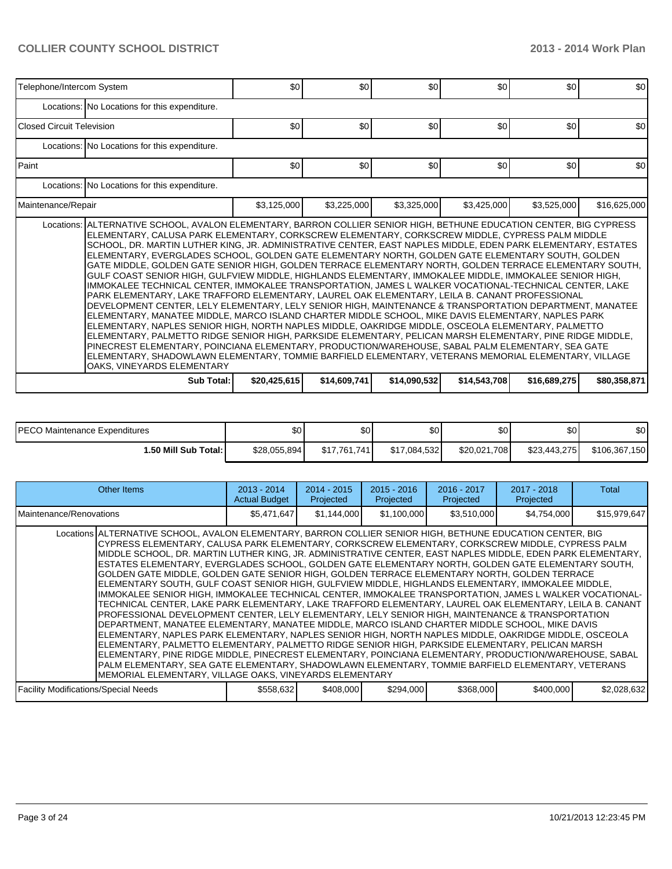| Telephone/Intercom System                                                                                                                                                                                                                                                                                                                                                                                                                                                                                                                                                                                                                                                                                                                                                                                                                                                                                                                                                                                                                                                                                                                                                                                                                                                                                                                                                                                                                                                                                                                                    | \$0          | \$0          | \$0          | \$0          | \$0          | \$0              |  |  |  |  |  |
|--------------------------------------------------------------------------------------------------------------------------------------------------------------------------------------------------------------------------------------------------------------------------------------------------------------------------------------------------------------------------------------------------------------------------------------------------------------------------------------------------------------------------------------------------------------------------------------------------------------------------------------------------------------------------------------------------------------------------------------------------------------------------------------------------------------------------------------------------------------------------------------------------------------------------------------------------------------------------------------------------------------------------------------------------------------------------------------------------------------------------------------------------------------------------------------------------------------------------------------------------------------------------------------------------------------------------------------------------------------------------------------------------------------------------------------------------------------------------------------------------------------------------------------------------------------|--------------|--------------|--------------|--------------|--------------|------------------|--|--|--|--|--|
| Locations: No Locations for this expenditure.                                                                                                                                                                                                                                                                                                                                                                                                                                                                                                                                                                                                                                                                                                                                                                                                                                                                                                                                                                                                                                                                                                                                                                                                                                                                                                                                                                                                                                                                                                                |              |              |              |              |              |                  |  |  |  |  |  |
| Closed Circuit Television                                                                                                                                                                                                                                                                                                                                                                                                                                                                                                                                                                                                                                                                                                                                                                                                                                                                                                                                                                                                                                                                                                                                                                                                                                                                                                                                                                                                                                                                                                                                    | \$0          | \$0          | \$0          | \$0          | \$0          | \$0              |  |  |  |  |  |
| Locations: No Locations for this expenditure.                                                                                                                                                                                                                                                                                                                                                                                                                                                                                                                                                                                                                                                                                                                                                                                                                                                                                                                                                                                                                                                                                                                                                                                                                                                                                                                                                                                                                                                                                                                |              |              |              |              |              |                  |  |  |  |  |  |
| <b>Paint</b>                                                                                                                                                                                                                                                                                                                                                                                                                                                                                                                                                                                                                                                                                                                                                                                                                                                                                                                                                                                                                                                                                                                                                                                                                                                                                                                                                                                                                                                                                                                                                 | \$0          | \$0          | \$0          | \$0          | \$0          | \$0 <sub>1</sub> |  |  |  |  |  |
| Locations: No Locations for this expenditure.                                                                                                                                                                                                                                                                                                                                                                                                                                                                                                                                                                                                                                                                                                                                                                                                                                                                                                                                                                                                                                                                                                                                                                                                                                                                                                                                                                                                                                                                                                                |              |              |              |              |              |                  |  |  |  |  |  |
| Maintenance/Repair                                                                                                                                                                                                                                                                                                                                                                                                                                                                                                                                                                                                                                                                                                                                                                                                                                                                                                                                                                                                                                                                                                                                                                                                                                                                                                                                                                                                                                                                                                                                           | \$3,125,000  | \$3,225,000  | \$3,325,000  | \$3,425,000  | \$3,525,000  | \$16,625,000     |  |  |  |  |  |
| Locations: ALTERNATIVE SCHOOL, AVALON ELEMENTARY, BARRON COLLIER SENIOR HIGH, BETHUNE EDUCATION CENTER, BIG CYPRESS<br>ELEMENTARY, CALUSA PARK ELEMENTARY, CORKSCREW ELEMENTARY, CORKSCREW MIDDLE, CYPRESS PALM MIDDLE<br>SCHOOL, DR. MARTIN LUTHER KING, JR. ADMINISTRATIVE CENTER, EAST NAPLES MIDDLE, EDEN PARK ELEMENTARY, ESTATES<br>ELEMENTARY, EVERGLADES SCHOOL, GOLDEN GATE ELEMENTARY NORTH, GOLDEN GATE ELEMENTARY SOUTH, GOLDEN<br>GATE MIDDLE, GOLDEN GATE SENIOR HIGH, GOLDEN TERRACE ELEMENTARY NORTH, GOLDEN TERRACE ELEMENTARY SOUTH,<br>GULF COAST SENIOR HIGH, GULFVIEW MIDDLE, HIGHLANDS ELEMENTARY, IMMOKALEE MIDDLE, IMMOKALEE SENIOR HIGH,<br>IMMOKALEE TECHNICAL CENTER, IMMOKALEE TRANSPORTATION, JAMES L WALKER VOCATIONAL-TECHNICAL CENTER, LAKE<br>PARK ELEMENTARY, LAKE TRAFFORD ELEMENTARY, LAUREL OAK ELEMENTARY, LEILA B. CANANT PROFESSIONAL<br>DEVELOPMENT CENTER, LELY ELEMENTARY, LELY SENIOR HIGH, MAINTENANCE & TRANSPORTATION DEPARTMENT, MANATEE<br>ELEMENTARY, MANATEE MIDDLE, MARCO ISLAND CHARTER MIDDLE SCHOOL, MIKE DAVIS ELEMENTARY, NAPLES PARK<br>ELEMENTARY, NAPLES SENIOR HIGH, NORTH NAPLES MIDDLE, OAKRIDGE MIDDLE, OSCEOLA ELEMENTARY, PALMETTO<br>ELEMENTARY, PALMETTO RIDGE SENIOR HIGH, PARKSIDE ELEMENTARY, PELICAN MARSH ELEMENTARY, PINE RIDGE MIDDLE,<br>PINECREST ELEMENTARY, POINCIANA ELEMENTARY, PRODUCTION/WAREHOUSE, SABAL PALM ELEMENTARY, SEA GATE<br>ELEMENTARY, SHADOWLAWN ELEMENTARY, TOMMIE BARFIELD ELEMENTARY, VETERANS MEMORIAL ELEMENTARY, VILLAGE<br>OAKS, VINEYARDS ELEMENTARY |              |              |              |              |              |                  |  |  |  |  |  |
| Sub Total:                                                                                                                                                                                                                                                                                                                                                                                                                                                                                                                                                                                                                                                                                                                                                                                                                                                                                                                                                                                                                                                                                                                                                                                                                                                                                                                                                                                                                                                                                                                                                   | \$20,425,615 | \$14,609,741 | \$14,090,532 | \$14,543,708 | \$16,689,275 | \$80,358,871     |  |  |  |  |  |

| PECO Maintenance Expenditures | ا 30         | ሰሳ<br>ъU     | ሖ<br>JU.     | \$0 <sub>1</sub> | ሮስ<br>ΦU     | \$0           |
|-------------------------------|--------------|--------------|--------------|------------------|--------------|---------------|
| 1.50 Mill Sub Total: I        | \$28,055,894 | \$17,761,741 | \$17,084,532 | \$20,021,708     | \$23,443,275 | \$106,367,150 |

| Other Items                                                                                                                                                                                                                                                                                                                                                                                                                                                                                                                                                                                                                                                                                                                                                                                                                                                                                                                                                                                                                                                                                                                                                                                                                                                                                                                                                                                                                                                                                                                                                    | $2013 - 2014$<br><b>Actual Budget</b> | $2014 - 2015$<br>Projected | $2015 - 2016$<br>Projected | 2016 - 2017<br>Projected | 2017 - 2018<br>Projected | Total        |
|----------------------------------------------------------------------------------------------------------------------------------------------------------------------------------------------------------------------------------------------------------------------------------------------------------------------------------------------------------------------------------------------------------------------------------------------------------------------------------------------------------------------------------------------------------------------------------------------------------------------------------------------------------------------------------------------------------------------------------------------------------------------------------------------------------------------------------------------------------------------------------------------------------------------------------------------------------------------------------------------------------------------------------------------------------------------------------------------------------------------------------------------------------------------------------------------------------------------------------------------------------------------------------------------------------------------------------------------------------------------------------------------------------------------------------------------------------------------------------------------------------------------------------------------------------------|---------------------------------------|----------------------------|----------------------------|--------------------------|--------------------------|--------------|
| Maintenance/Renovations                                                                                                                                                                                                                                                                                                                                                                                                                                                                                                                                                                                                                                                                                                                                                                                                                                                                                                                                                                                                                                                                                                                                                                                                                                                                                                                                                                                                                                                                                                                                        | \$5,471,647                           | \$1,144,000                | \$1,100,000                | \$3,510,000              | \$4,754,000              | \$15,979,647 |
| Locations ALTERNATIVE SCHOOL, AVALON ELEMENTARY, BARRON COLLIER SENIOR HIGH, BETHUNE EDUCATION CENTER, BIG<br>CYPRESS ELEMENTARY, CALUSA PARK ELEMENTARY, CORKSCREW ELEMENTARY, CORKSCREW MIDDLE, CYPRESS PALM<br>IMIDDLE SCHOOL. DR. MARTIN LUTHER KING. JR. ADMINISTRATIVE CENTER. EAST NAPLES MIDDLE. EDEN PARK ELEMENTARY.<br>ESTATES ELEMENTARY, EVERGLADES SCHOOL, GOLDEN GATE ELEMENTARY NORTH, GOLDEN GATE ELEMENTARY SOUTH,<br>GOLDEN GATE MIDDLE. GOLDEN GATE SENIOR HIGH. GOLDEN TERRACE ELEMENTARY NORTH. GOLDEN TERRACE<br>ELEMENTARY SOUTH, GULF COAST SENIOR HIGH, GULFVIEW MIDDLE, HIGHLANDS ELEMENTARY, IMMOKALEE MIDDLE,<br>IMMOKALEE SENIOR HIGH, IMMOKALEE TECHNICAL CENTER, IMMOKALEE TRANSPORTATION, JAMES L WALKER VOCATIONAL-<br>TECHNICAL CENTER, LAKE PARK ELEMENTARY, LAKE TRAFFORD ELEMENTARY, LAUREL OAK ELEMENTARY, LEILA B. CANANT<br>PROFESSIONAL DEVELOPMENT CENTER, LELY ELEMENTARY, LELY SENIOR HIGH, MAINTENANCE & TRANSPORTATION<br>DEPARTMENT, MANATEE ELEMENTARY, MANATEE MIDDLE, MARCO ISLAND CHARTER MIDDLE SCHOOL, MIKE DAVIS<br>ELEMENTARY, NAPLES PARK ELEMENTARY, NAPLES SENIOR HIGH, NORTH NAPLES MIDDLE, OAKRIDGE MIDDLE, OSCEOLA<br>IELEMENTARY. PALMETTO ELEMENTARY. PALMETTO RIDGE SENIOR HIGH. PARKSIDE ELEMENTARY. PELICAN MARSH<br>ELEMENTARY, PINE RIDGE MIDDLE, PINECREST ELEMENTARY, POINCIANA ELEMENTARY, PRODUCTION/WAREHOUSE, SABAL<br>PALM ELEMENTARY. SEA GATE ELEMENTARY. SHADOWLAWN ELEMENTARY. TOMMIE BARFIELD ELEMENTARY. VETERANS<br>MEMORIAL ELEMENTARY, VILLAGE OAKS, VINEYARDS ELEMENTARY |                                       |                            |                            |                          |                          |              |
| <b>Facility Modifications/Special Needs</b>                                                                                                                                                                                                                                                                                                                                                                                                                                                                                                                                                                                                                                                                                                                                                                                                                                                                                                                                                                                                                                                                                                                                                                                                                                                                                                                                                                                                                                                                                                                    | \$558,632                             | \$408,000                  | \$294,000                  | \$368,000                | \$400,000                | \$2,028,632  |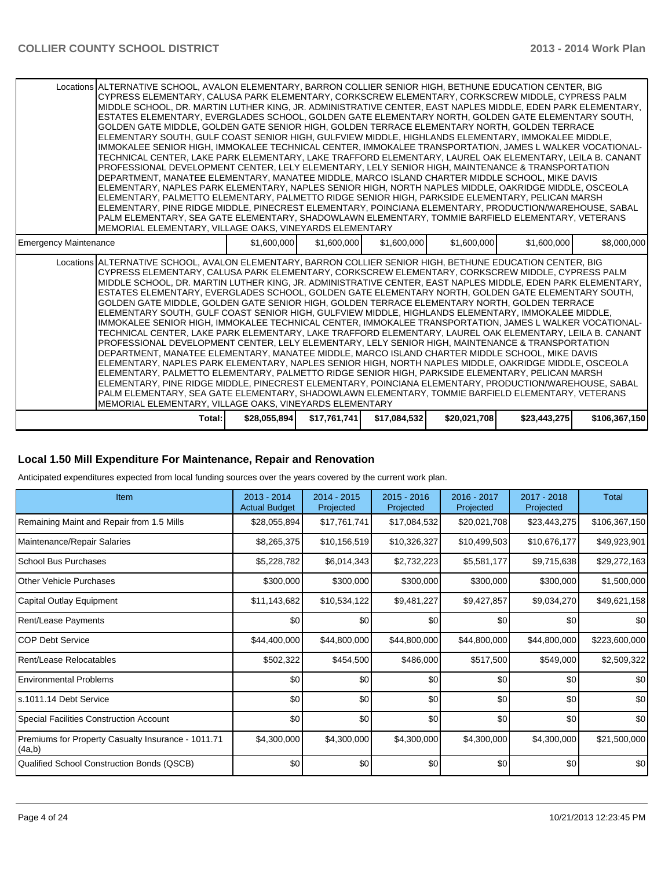|                              | Total:                                                                                                                                                                                                                                                                                                                                                                                                                                                                                                                                                                                                                                                                                                                                                                                                                                                                                                                                                                                                                                                                                                                                                                                                                                                                                                                                                                                                                                                                                                                                                         | \$28,055,894 | \$17,761,741 | \$17,084,532 | \$20,021,708 | \$23,443,275 | \$106,367,150 |
|------------------------------|----------------------------------------------------------------------------------------------------------------------------------------------------------------------------------------------------------------------------------------------------------------------------------------------------------------------------------------------------------------------------------------------------------------------------------------------------------------------------------------------------------------------------------------------------------------------------------------------------------------------------------------------------------------------------------------------------------------------------------------------------------------------------------------------------------------------------------------------------------------------------------------------------------------------------------------------------------------------------------------------------------------------------------------------------------------------------------------------------------------------------------------------------------------------------------------------------------------------------------------------------------------------------------------------------------------------------------------------------------------------------------------------------------------------------------------------------------------------------------------------------------------------------------------------------------------|--------------|--------------|--------------|--------------|--------------|---------------|
|                              | Locations ALTERNATIVE SCHOOL, AVALON ELEMENTARY, BARRON COLLIER SENIOR HIGH, BETHUNE EDUCATION CENTER, BIG<br>CYPRESS ELEMENTARY, CALUSA PARK ELEMENTARY, CORKSCREW ELEMENTARY, CORKSCREW MIDDLE, CYPRESS PALM<br>MIDDLE SCHOOL. DR. MARTIN LUTHER KING. JR. ADMINISTRATIVE CENTER. EAST NAPLES MIDDLE. EDEN PARK ELEMENTARY. I<br>ESTATES ELEMENTARY, EVERGLADES SCHOOL, GOLDEN GATE ELEMENTARY NORTH, GOLDEN GATE ELEMENTARY SOUTH,<br>GOLDEN GATE MIDDLE, GOLDEN GATE SENIOR HIGH, GOLDEN TERRACE ELEMENTARY NORTH, GOLDEN TERRACE<br>ELEMENTARY SOUTH, GULF COAST SENIOR HIGH, GULFVIEW MIDDLE, HIGHLANDS ELEMENTARY, IMMOKALEE MIDDLE,<br>IMMOKALEE SENIOR HIGH, IMMOKALEE TECHNICAL CENTER, IMMOKALEE TRANSPORTATION, JAMES L WALKER VOCATIONAL-<br>TECHNICAL CENTER. LAKE PARK ELEMENTARY. LAKE TRAFFORD ELEMENTARY. LAUREL OAK ELEMENTARY. LEILA B. CANANT<br>PROFESSIONAL DEVELOPMENT CENTER, LELY ELEMENTARY, LELY SENIOR HIGH, MAINTENANCE & TRANSPORTATION<br>DEPARTMENT, MANATEE ELEMENTARY, MANATEE MIDDLE, MARCO ISLAND CHARTER MIDDLE SCHOOL, MIKE DAVIS<br>ELEMENTARY, NAPLES PARK ELEMENTARY, NAPLES SENIOR HIGH, NORTH NAPLES MIDDLE, OAKRIDGE MIDDLE, OSCEOLA<br>ELEMENTARY, PALMETTO ELEMENTARY, PALMETTO RIDGE SENIOR HIGH, PARKSIDE ELEMENTARY, PELICAN MARSH<br>ELEMENTARY, PINE RIDGE MIDDLE, PINECREST ELEMENTARY, POINCIANA ELEMENTARY, PRODUCTION/WAREHOUSE, SABAL<br>PALM ELEMENTARY, SEA GATE ELEMENTARY, SHADOWLAWN ELEMENTARY, TOMMIE BARFIELD ELEMENTARY, VETERANS<br>MEMORIAL ELEMENTARY, VILLAGE OAKS, VINEYARDS ELEMENTARY |              |              |              |              |              |               |
| <b>Emergency Maintenance</b> |                                                                                                                                                                                                                                                                                                                                                                                                                                                                                                                                                                                                                                                                                                                                                                                                                                                                                                                                                                                                                                                                                                                                                                                                                                                                                                                                                                                                                                                                                                                                                                | \$1,600,000  | \$1,600,000  | \$1,600,000  | \$1,600,000  | \$1,600,000  | \$8,000,000   |
|                              | Locations ALTERNATIVE SCHOOL, AVALON ELEMENTARY, BARRON COLLIER SENIOR HIGH, BETHUNE EDUCATION CENTER, BIG<br>CYPRESS ELEMENTARY, CALUSA PARK ELEMENTARY, CORKSCREW ELEMENTARY, CORKSCREW MIDDLE, CYPRESS PALM<br>MIDDLE SCHOOL, DR. MARTIN LUTHER KING, JR. ADMINISTRATIVE CENTER, EAST NAPLES MIDDLE, EDEN PARK ELEMENTARY,<br>ESTATES ELEMENTARY, EVERGLADES SCHOOL, GOLDEN GATE ELEMENTARY NORTH, GOLDEN GATE ELEMENTARY SOUTH,<br>GOLDEN GATE MIDDLE. GOLDEN GATE SENIOR HIGH. GOLDEN TERRACE ELEMENTARY NORTH. GOLDEN TERRACE<br>ELEMENTARY SOUTH, GULF COAST SENIOR HIGH, GULFVIEW MIDDLE, HIGHLANDS ELEMENTARY, IMMOKALEE MIDDLE,<br>IMMOKALEE SENIOR HIGH, IMMOKALEE TECHNICAL CENTER, IMMOKALEE TRANSPORTATION, JAMES L WALKER VOCATIONAL-<br>TECHNICAL CENTER. LAKE PARK ELEMENTARY. LAKE TRAFFORD ELEMENTARY. LAUREL OAK ELEMENTARY. LEILA B. CANANT<br>PROFESSIONAL DEVELOPMENT CENTER, LELY ELEMENTARY, LELY SENIOR HIGH, MAINTENANCE & TRANSPORTATION<br>DEPARTMENT, MANATEE ELEMENTARY, MANATEE MIDDLE, MARCO ISLAND CHARTER MIDDLE SCHOOL, MIKE DAVIS<br>ELEMENTARY, NAPLES PARK ELEMENTARY, NAPLES SENIOR HIGH, NORTH NAPLES MIDDLE, OAKRIDGE MIDDLE, OSCEOLA<br>ELEMENTARY, PALMETTO ELEMENTARY, PALMETTO RIDGE SENIOR HIGH, PARKSIDE ELEMENTARY, PELICAN MARSH<br>ELEMENTARY, PINE RIDGE MIDDLE, PINECREST ELEMENTARY, POINCIANA ELEMENTARY, PRODUCTION/WAREHOUSE, SABAL<br>PALM ELEMENTARY. SEA GATE ELEMENTARY. SHADOWLAWN ELEMENTARY. TOMMIE BARFIELD ELEMENTARY. VETERANS<br>MEMORIAL ELEMENTARY, VILLAGE OAKS, VINEYARDS ELEMENTARY   |              |              |              |              |              |               |

#### **Local 1.50 Mill Expenditure For Maintenance, Repair and Renovation**

Anticipated expenditures expected from local funding sources over the years covered by the current work plan.

| Item                                                         | $2013 - 2014$<br><b>Actual Budget</b> | $2014 - 2015$<br>Projected | $2015 - 2016$<br>Projected | 2016 - 2017<br>Projected | 2017 - 2018<br>Projected | <b>Total</b>  |
|--------------------------------------------------------------|---------------------------------------|----------------------------|----------------------------|--------------------------|--------------------------|---------------|
| Remaining Maint and Repair from 1.5 Mills                    | \$28,055,894                          | \$17,761,741               | \$17,084,532               | \$20,021,708             | \$23,443,275             | \$106,367,150 |
| Maintenance/Repair Salaries                                  | \$8,265,375                           | \$10,156,519               | \$10,326,327               | \$10,499,503             | \$10,676,177             | \$49,923,901  |
| l School Bus Purchases                                       | \$5,228,782                           | \$6,014,343                | \$2,732,223                | \$5,581,177              | \$9,715,638              | \$29,272,163  |
| IOther Vehicle Purchases                                     | \$300,000                             | \$300,000                  | \$300,000                  | \$300,000                | \$300,000                | \$1,500,000   |
| Capital Outlay Equipment                                     | \$11,143,682                          | \$10,534,122               | \$9,481,227                | \$9,427,857              | \$9,034,270              | \$49,621,158  |
| Rent/Lease Payments                                          | \$0                                   | \$0                        | \$0                        | \$0                      | \$0                      | \$0           |
| ICOP Debt Service                                            | \$44,400,000                          | \$44,800,000               | \$44,800,000               | \$44,800,000             | \$44,800,000             | \$223,600,000 |
| Rent/Lease Relocatables                                      | \$502,322                             | \$454,500                  | \$486,000                  | \$517,500                | \$549,000                | \$2,509,322   |
| Environmental Problems                                       | \$0                                   | \$0                        | \$0                        | \$0                      | \$0                      | \$0           |
| s.1011.14 Debt Service                                       | \$0                                   | \$0                        | \$0                        | \$0                      | \$0                      | \$0           |
| Special Facilities Construction Account                      | \$0                                   | \$0                        | \$0                        | \$0                      | \$0                      | \$0           |
| Premiums for Property Casualty Insurance - 1011.71<br>(4a,b) | \$4,300,000                           | \$4,300,000                | \$4,300,000                | \$4,300,000              | \$4,300,000              | \$21,500,000  |
| Qualified School Construction Bonds (QSCB)                   | \$0                                   | \$0                        | \$0                        | \$0                      | \$0                      | \$0           |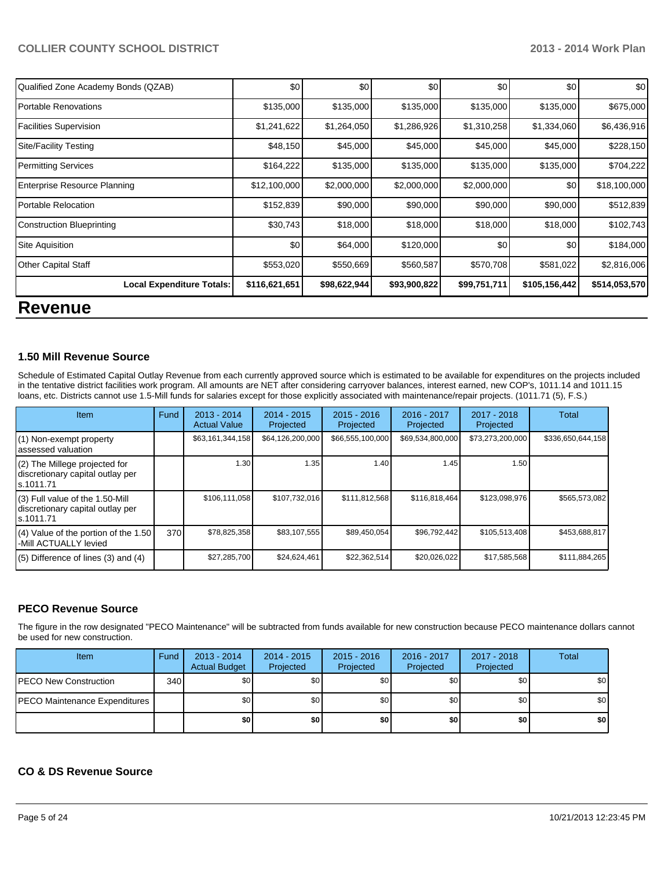| n                                   |               |              |              |              |               |               |
|-------------------------------------|---------------|--------------|--------------|--------------|---------------|---------------|
| <b>Local Expenditure Totals:</b>    | \$116,621,651 | \$98,622,944 | \$93,900,822 | \$99,751,711 | \$105,156,442 | \$514,053,570 |
| <b>Other Capital Staff</b>          | \$553,020     | \$550,669    | \$560,587    | \$570,708    | \$581,022     | \$2,816,006   |
| Site Aquisition                     | \$0           | \$64,000     | \$120,000    | \$0          | \$0           | \$184,000     |
| Construction Blueprinting           | \$30,743      | \$18,000     | \$18,000     | \$18,000     | \$18,000      | \$102,743     |
| Portable Relocation                 | \$152,839     | \$90,000     | \$90,000     | \$90,000     | \$90,000      | \$512,839     |
| <b>Enterprise Resource Planning</b> | \$12,100,000  | \$2,000,000  | \$2,000,000  | \$2,000,000  | \$0           | \$18,100,000  |
| Permitting Services                 | \$164,222     | \$135,000    | \$135,000    | \$135,000    | \$135,000     | \$704,222     |
| Site/Facility Testing               | \$48,150      | \$45,000     | \$45,000     | \$45,000     | \$45,000      | \$228,150     |
| Facilities Supervision              | \$1,241,622   | \$1,264,050  | \$1,286,926  | \$1,310,258  | \$1,334,060   | \$6,436,916   |
| Portable Renovations                | \$135,000     | \$135,000    | \$135,000    | \$135,000    | \$135,000     | \$675,000     |
| Qualified Zone Academy Bonds (QZAB) | \$0           | \$0          | \$0          | \$0          | \$0           | \$0           |

# **Revenue**

#### **1.50 Mill Revenue Source**

Schedule of Estimated Capital Outlay Revenue from each currently approved source which is estimated to be available for expenditures on the projects included in the tentative district facilities work program. All amounts are NET after considering carryover balances, interest earned, new COP's, 1011.14 and 1011.15 loans, etc. Districts cannot use 1.5-Mill funds for salaries except for those explicitly associated with maintenance/repair projects. (1011.71 (5), F.S.)

| Item                                                                                | Fund | $2013 - 2014$<br><b>Actual Value</b> | $2014 - 2015$<br>Projected | $2015 - 2016$<br>Projected | $2016 - 2017$<br>Projected | $2017 - 2018$<br>Projected | Total             |
|-------------------------------------------------------------------------------------|------|--------------------------------------|----------------------------|----------------------------|----------------------------|----------------------------|-------------------|
| (1) Non-exempt property<br>assessed valuation                                       |      | \$63,161,344,158                     | \$64,126,200,000           | \$66,555,100,000           | \$69,534,800,000           | \$73,273,200,000           | \$336,650,644,158 |
| $(2)$ The Millege projected for<br>discretionary capital outlay per<br>ls.1011.71   |      | 1.30                                 | 1.35                       | 1.40                       | 1.45                       | 1.50                       |                   |
| $(3)$ Full value of the 1.50-Mill<br>discretionary capital outlay per<br>ls.1011.71 |      | \$106,111,058                        | \$107,732,016              | \$111,812,568              | \$116,818,464              | \$123,098,976              | \$565,573,082     |
| $(4)$ Value of the portion of the 1.50<br>-Mill ACTUALLY levied                     | 370  | \$78,825,358                         | \$83,107,555               | \$89,450,054               | \$96,792,442               | \$105,513,408              | \$453,688,817     |
| $(5)$ Difference of lines $(3)$ and $(4)$                                           |      | \$27,285,700                         | \$24,624,461               | \$22,362,514               | \$20,026,022               | \$17,585,568               | \$111,884,265     |

#### **PECO Revenue Source**

The figure in the row designated "PECO Maintenance" will be subtracted from funds available for new construction because PECO maintenance dollars cannot be used for new construction.

| <b>Item</b>                          | Fund | $2013 - 2014$<br><b>Actual Budget</b> | $2014 - 2015$<br>Projected | $2015 - 2016$<br>Projected | 2016 - 2017<br>Projected | 2017 - 2018<br>Projected | <b>Total</b> |
|--------------------------------------|------|---------------------------------------|----------------------------|----------------------------|--------------------------|--------------------------|--------------|
| <b>PECO New Construction</b>         | 340  | \$O I                                 | \$0 <sub>1</sub>           | \$0                        | \$0 I                    | \$0                      | \$0          |
| <b>PECO Maintenance Expenditures</b> |      | \$O I                                 | \$0                        | \$0                        | \$0 <sub>1</sub>         | \$0                      | \$0          |
|                                      |      | \$0                                   | \$0                        | \$0                        | \$0                      | \$0                      | \$0          |

### **CO & DS Revenue Source**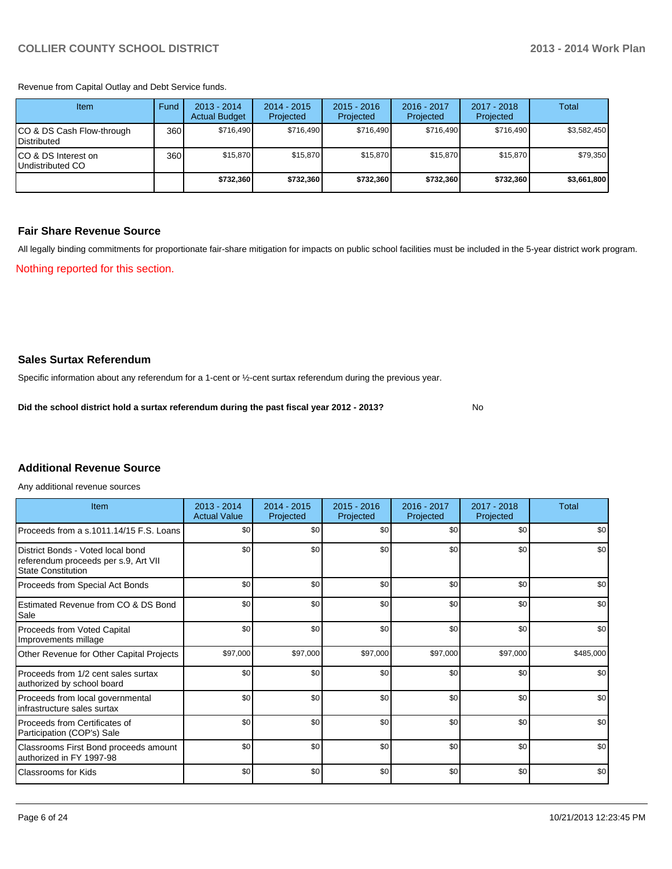Revenue from Capital Outlay and Debt Service funds.

| Item                                               | Fund | $2013 - 2014$<br><b>Actual Budget</b> | $2014 - 2015$<br>Projected | $2015 - 2016$<br>Projected | $2016 - 2017$<br>Projected | $2017 - 2018$<br>Projected | Total       |
|----------------------------------------------------|------|---------------------------------------|----------------------------|----------------------------|----------------------------|----------------------------|-------------|
| ICO & DS Cash Flow-through<br><b>I</b> Distributed | 360  | \$716.490                             | \$716,490                  | \$716.490                  | \$716.490                  | \$716.490                  | \$3,582,450 |
| ICO & DS Interest on<br>Undistributed CO           | 360  | \$15,870                              | \$15,870                   | \$15,870                   | \$15,870                   | \$15,870                   | \$79,350    |
|                                                    |      | \$732,360                             | \$732,360                  | \$732,360                  | \$732,360                  | \$732,360                  | \$3,661,800 |

#### **Fair Share Revenue Source**

Nothing reported for this section. All legally binding commitments for proportionate fair-share mitigation for impacts on public school facilities must be included in the 5-year district work program.

**Sales Surtax Referendum**

Specific information about any referendum for a 1-cent or ½-cent surtax referendum during the previous year.

**Did the school district hold a surtax referendum during the past fiscal year 2012 - 2013?**

No

## **Additional Revenue Source**

Any additional revenue sources

| Item                                                                                            | $2013 - 2014$<br><b>Actual Value</b> | $2014 - 2015$<br>Projected | $2015 - 2016$<br>Projected | 2016 - 2017<br>Projected | 2017 - 2018<br>Projected | Total     |
|-------------------------------------------------------------------------------------------------|--------------------------------------|----------------------------|----------------------------|--------------------------|--------------------------|-----------|
| Proceeds from a s.1011.14/15 F.S. Loans                                                         | \$0                                  | \$0                        | \$0                        | \$0                      | \$0                      | \$0       |
| District Bonds - Voted local bond<br>referendum proceeds per s.9, Art VII<br>State Constitution | \$0                                  | \$0                        | \$0                        | \$0                      | \$0                      | \$0       |
| Proceeds from Special Act Bonds                                                                 | \$0                                  | \$0                        | \$0                        | \$0                      | \$0                      | \$0       |
| Estimated Revenue from CO & DS Bond<br>Sale                                                     | \$0                                  | \$0                        | \$0                        | \$0                      | \$0                      | \$0       |
| Proceeds from Voted Capital<br>Improvements millage                                             | \$0                                  | \$0                        | \$0                        | \$0                      | \$0                      | \$0       |
| Other Revenue for Other Capital Projects                                                        | \$97,000                             | \$97,000                   | \$97,000                   | \$97,000                 | \$97,000                 | \$485,000 |
| Proceeds from 1/2 cent sales surtax<br>authorized by school board                               | \$0                                  | \$0                        | \$0                        | \$0                      | \$0                      | \$0       |
| Proceeds from local governmental<br>infrastructure sales surtax                                 | \$0                                  | \$0                        | \$0                        | \$0                      | \$0                      | \$0       |
| Proceeds from Certificates of<br>Participation (COP's) Sale                                     | \$0                                  | \$0                        | \$0                        | \$0                      | \$0                      | \$0       |
| Classrooms First Bond proceeds amount<br>authorized in FY 1997-98                               | \$0                                  | \$0                        | \$0                        | \$0                      | \$0                      | \$0       |
| Classrooms for Kids                                                                             | \$0                                  | \$0                        | \$0                        | \$0                      | \$0                      | \$0       |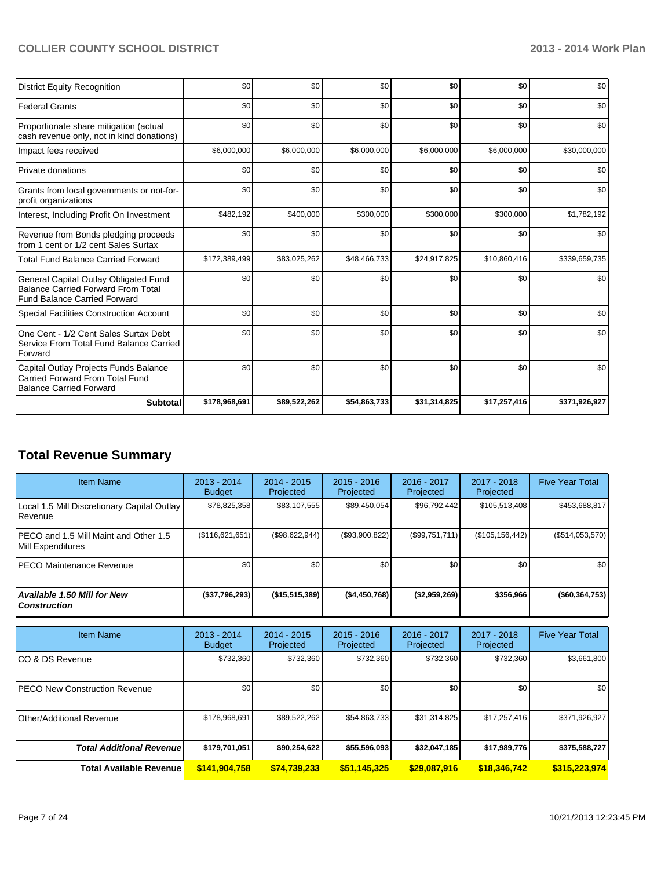| <b>District Equity Recognition</b>                                                                                        | \$0           | \$0          | \$0          | \$0          | \$0          | \$0           |
|---------------------------------------------------------------------------------------------------------------------------|---------------|--------------|--------------|--------------|--------------|---------------|
| <b>Federal Grants</b>                                                                                                     | \$0           | \$0          | \$0          | \$0          | \$0          | \$0           |
| Proportionate share mitigation (actual<br>cash revenue only, not in kind donations)                                       | \$0           | \$0          | \$0          | \$0          | \$0          | \$0           |
| Impact fees received                                                                                                      | \$6,000,000   | \$6,000,000  | \$6,000,000  | \$6,000,000  | \$6,000,000  | \$30,000,000  |
| Private donations                                                                                                         | \$0           | \$0          | \$0          | \$0          | \$0          | \$0           |
| Grants from local governments or not-for-<br>profit organizations                                                         | \$0           | \$0          | \$0          | \$0          | \$0          | \$0           |
| Interest, Including Profit On Investment                                                                                  | \$482,192     | \$400,000    | \$300,000    | \$300,000    | \$300,000    | \$1,782,192   |
| Revenue from Bonds pledging proceeds<br>from 1 cent or 1/2 cent Sales Surtax                                              | \$0           | \$0          | \$0          | \$0          | \$0          | \$0           |
| <b>Total Fund Balance Carried Forward</b>                                                                                 | \$172,389,499 | \$83,025,262 | \$48,466,733 | \$24,917,825 | \$10,860,416 | \$339,659,735 |
| General Capital Outlay Obligated Fund<br><b>Balance Carried Forward From Total</b><br><b>Fund Balance Carried Forward</b> | \$0           | \$0          | \$0          | \$0          | \$0          | \$0           |
| <b>Special Facilities Construction Account</b>                                                                            | \$0           | \$0          | \$0          | \$0          | \$0          | \$0           |
| One Cent - 1/2 Cent Sales Surtax Debt<br>Service From Total Fund Balance Carried<br>Forward                               | \$0           | \$0          | \$0          | \$0          | \$0          | \$0           |
| Capital Outlay Projects Funds Balance<br>Carried Forward From Total Fund<br><b>Balance Carried Forward</b>                | \$0           | \$0          | \$0          | \$0          | \$0          | \$0           |
| <b>Subtotal</b>                                                                                                           | \$178,968,691 | \$89,522,262 | \$54,863,733 | \$31,314,825 | \$17,257,416 | \$371,926,927 |

# **Total Revenue Summary**

| <b>Item Name</b>                                           | $2013 - 2014$<br><b>Budget</b> | $2014 - 2015$<br>Projected | $2015 - 2016$<br><b>Projected</b> | $2016 - 2017$<br>Projected | $2017 - 2018$<br>Projected | <b>Five Year Total</b> |
|------------------------------------------------------------|--------------------------------|----------------------------|-----------------------------------|----------------------------|----------------------------|------------------------|
| Local 1.5 Mill Discretionary Capital Outlay<br>Revenue     | \$78,825,358                   | \$83,107,555               | \$89,450,054                      | \$96,792,442               | \$105,513,408              | \$453,688,817          |
| PECO and 1.5 Mill Maint and Other 1.5<br>Mill Expenditures | (\$116,621,651)                | (\$98,622,944)             | (S93,900,822)                     | (S99,751,711)              | (\$105, 156, 442)          | $(\$514,053,570)$      |
| IPECO Maintenance Revenue                                  | \$0                            | \$0                        | \$0                               | \$0                        | \$0                        | \$0 <sub>1</sub>       |
| <b>Available 1.50 Mill for New</b><br><b>Construction</b>  | (\$37,796,293)                 | $($ \$15,515,389)          | ( \$4,450,768)                    | ( \$2,959,269)             | \$356,966                  | ( \$60, 364, 753]      |

| <b>Item Name</b>                      | $2013 - 2014$<br><b>Budget</b> | $2014 - 2015$<br>Projected | $2015 - 2016$<br>Projected | $2016 - 2017$<br>Projected | $2017 - 2018$<br>Projected | <b>Five Year Total</b> |
|---------------------------------------|--------------------------------|----------------------------|----------------------------|----------------------------|----------------------------|------------------------|
| ICO & DS Revenue                      | \$732,360                      | \$732,360                  | \$732,360                  | \$732,360                  | \$732,360                  | \$3,661,800            |
| <b>IPECO New Construction Revenue</b> | \$0                            | \$0                        | \$0                        | \$0                        | \$0                        | \$0                    |
| <b>I</b> Other/Additional Revenue     | \$178,968,691                  | \$89,522,262               | \$54,863,733               | \$31,314,825               | \$17,257,416               | \$371,926,927          |
| <b>Total Additional Revenuel</b>      | \$179,701,051                  | \$90,254,622               | \$55,596,093               | \$32,047,185               | \$17,989,776               | \$375,588,727          |
| <b>Total Available Revenue</b>        | \$141,904,758                  | \$74,739,233               | \$51,145,325               | \$29,087,916               | \$18,346,742               | \$315,223,974          |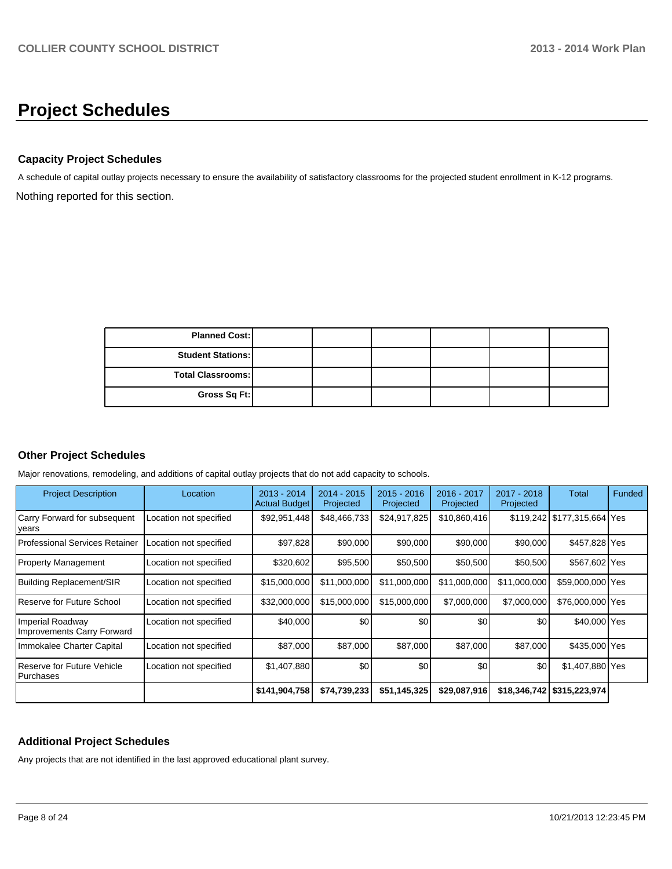# **Project Schedules**

#### **Capacity Project Schedules**

Nothing reported for this section. A schedule of capital outlay projects necessary to ensure the availability of satisfactory classrooms for the projected student enrollment in K-12 programs.

| <b>Planned Cost:</b>     |  |  |  |
|--------------------------|--|--|--|
| <b>Student Stations:</b> |  |  |  |
| <b>Total Classrooms:</b> |  |  |  |
| Gross Sq Ft:             |  |  |  |

#### **Other Project Schedules**

Major renovations, remodeling, and additions of capital outlay projects that do not add capacity to schools.

| <b>Project Description</b>                     | Location               | $2013 - 2014$<br><b>Actual Budget</b> | $2014 - 2015$<br>Projected | $2015 - 2016$<br>Projected | 2016 - 2017<br>Projected | 2017 - 2018<br>Projected | Total                       | Funded |
|------------------------------------------------|------------------------|---------------------------------------|----------------------------|----------------------------|--------------------------|--------------------------|-----------------------------|--------|
| Carry Forward for subsequent<br> years         | Location not specified | \$92,951,448                          | \$48,466,733               | \$24,917,825               | \$10,860,416             |                          | \$119,242 \$177,315,664 Yes |        |
| l Professional Services Retainer               | Location not specified | \$97,828                              | \$90,000                   | \$90,000                   | \$90,000                 | \$90,000                 | \$457,828 Yes               |        |
| Property Management                            | Location not specified | \$320,602                             | \$95,500                   | \$50,500                   | \$50,500                 | \$50,500                 | \$567,602 Yes               |        |
| Building Replacement/SIR                       | Location not specified | \$15,000,000                          | \$11,000,000               | \$11,000,000               | \$11,000,000             | \$11,000,000             | \$59,000,000 Yes            |        |
| Reserve for Future School                      | Location not specified | \$32,000,000                          | \$15,000,000               | \$15,000,000               | \$7,000,000              | \$7,000,000              | \$76,000,000 Yes            |        |
| Imperial Roadway<br>Improvements Carry Forward | Location not specified | \$40,000                              | \$0                        | \$0                        | \$0                      | \$0                      | \$40,000 Yes                |        |
| Immokalee Charter Capital                      | Location not specified | \$87,000                              | \$87,000                   | \$87,000                   | \$87,000                 | \$87,000                 | \$435,000 Yes               |        |
| l Reserve for Future Vehicle<br>l Purchases    | Location not specified | \$1,407,880                           | \$0                        | \$0                        | \$0                      | \$0                      | \$1,407,880 Yes             |        |
|                                                |                        | \$141,904,758                         | \$74,739,233               | \$51,145,325               | \$29,087,916             |                          | \$18,346,742 \$315,223,974  |        |

#### **Additional Project Schedules**

Any projects that are not identified in the last approved educational plant survey.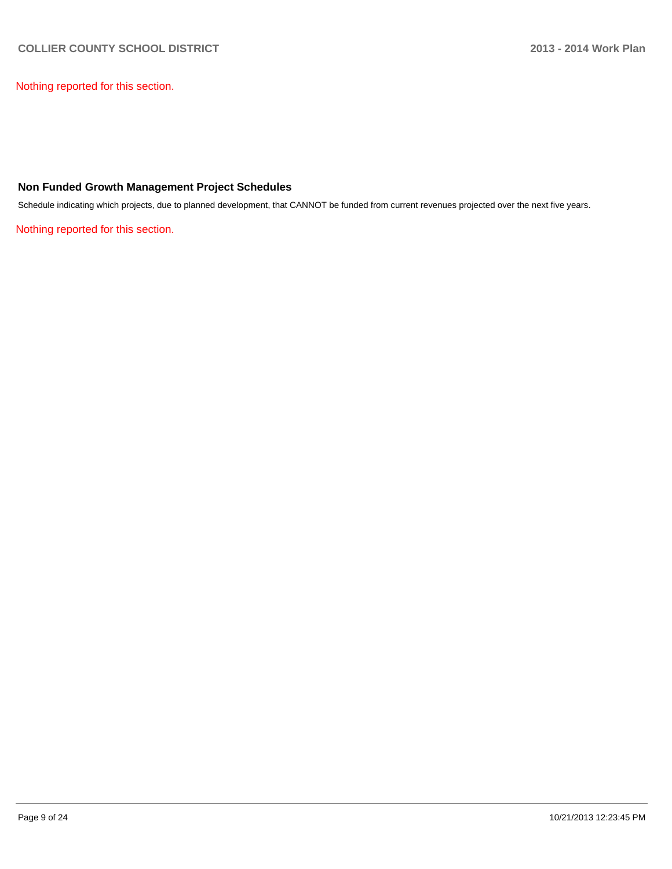Nothing reported for this section.

#### **Non Funded Growth Management Project Schedules**

Schedule indicating which projects, due to planned development, that CANNOT be funded from current revenues projected over the next five years.

Nothing reported for this section.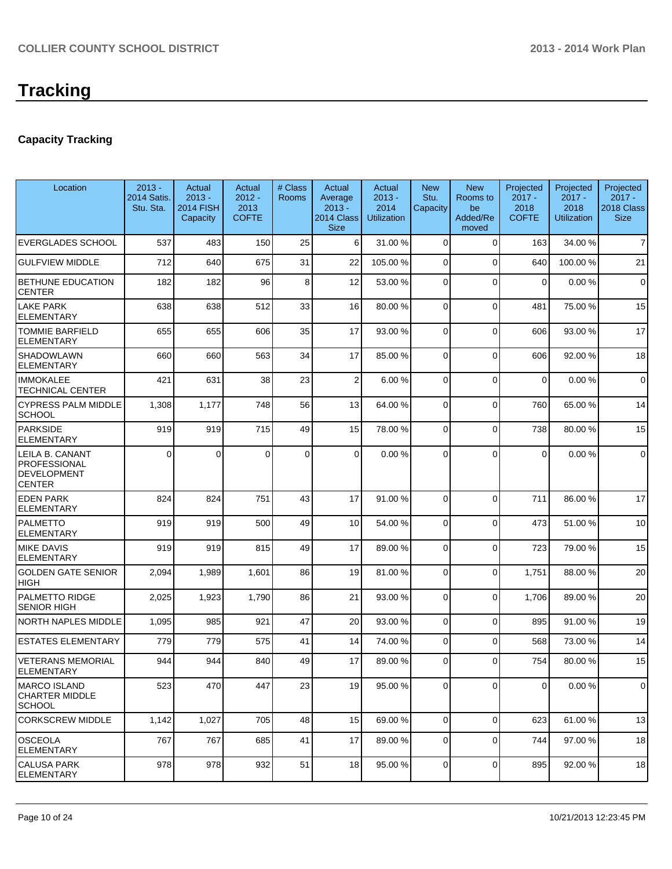## **Capacity Tracking**

| Location                                                               | $2013 -$<br><b>2014 Satis.</b><br>Stu. Sta. | Actual<br>$2013 -$<br><b>2014 FISH</b><br>Capacity | Actual<br>$2012 -$<br>2013<br><b>COFTE</b> | # Class<br><b>Rooms</b> | Actual<br>Average<br>$2013 -$<br>2014 Class<br><b>Size</b> | Actual<br>$2013 -$<br>2014<br><b>Utilization</b> | <b>New</b><br>Stu.<br>Capacity | <b>New</b><br>Rooms to<br>be<br>Added/Re<br>moved | Projected<br>$2017 -$<br>2018<br><b>COFTE</b> | Projected<br>$2017 -$<br>2018<br><b>Utilization</b> | Projected<br>$2017 -$<br>2018 Class<br><b>Size</b> |
|------------------------------------------------------------------------|---------------------------------------------|----------------------------------------------------|--------------------------------------------|-------------------------|------------------------------------------------------------|--------------------------------------------------|--------------------------------|---------------------------------------------------|-----------------------------------------------|-----------------------------------------------------|----------------------------------------------------|
| <b>EVERGLADES SCHOOL</b>                                               | 537                                         | 483                                                | 150                                        | 25                      | 6 <sup>1</sup>                                             | 31.00 %                                          | $\Omega$                       | $\Omega$                                          | 163                                           | 34.00 %                                             | $\overline{7}$                                     |
| <b>GULFVIEW MIDDLE</b>                                                 | 712                                         | 640                                                | 675                                        | 31                      | 22                                                         | 105.00 %                                         | 0                              | $\Omega$                                          | 640                                           | 100.00%                                             | 21                                                 |
| <b>BETHUNE EDUCATION</b><br><b>CENTER</b>                              | 182                                         | 182                                                | 96                                         | 8                       | 12                                                         | 53.00 %                                          | 0                              | $\Omega$                                          | $\Omega$                                      | 0.00%                                               | $\mathbf 0$                                        |
| <b>LAKE PARK</b><br><b>ELEMENTARY</b>                                  | 638                                         | 638                                                | 512                                        | 33                      | 16                                                         | 80.00 %                                          | 0                              | $\Omega$                                          | 481                                           | 75.00 %                                             | 15                                                 |
| <b>TOMMIE BARFIELD</b><br><b>ELEMENTARY</b>                            | 655                                         | 655                                                | 606                                        | 35                      | 17                                                         | 93.00 %                                          | $\Omega$                       | $\Omega$                                          | 606                                           | 93.00 %                                             | 17                                                 |
| <b>SHADOWLAWN</b><br><b>ELEMENTARY</b>                                 | 660                                         | 660                                                | 563                                        | 34                      | 17                                                         | 85.00 %                                          | $\overline{0}$                 | $\Omega$                                          | 606                                           | 92.00%                                              | 18                                                 |
| <b>IMMOKALEE</b><br><b>TECHNICAL CENTER</b>                            | 421                                         | 631                                                | 38                                         | 23                      | $\overline{2}$                                             | 6.00%                                            | 0                              | $\Omega$                                          | $\mathbf 0$                                   | 0.00%                                               | $\mathbf 0$                                        |
| <b>CYPRESS PALM MIDDLE</b><br><b>SCHOOL</b>                            | 1,308                                       | 1,177                                              | 748                                        | 56                      | 13                                                         | 64.00 %                                          | 0                              | $\Omega$                                          | 760                                           | 65.00 %                                             | 14                                                 |
| PARKSIDE<br><b>ELEMENTARY</b>                                          | 919                                         | 919                                                | 715                                        | 49                      | 15                                                         | 78.00 %                                          | $\Omega$                       | $\Omega$                                          | 738                                           | 80.00%                                              | 15                                                 |
| LEILA B. CANANT<br>PROFESSIONAL<br><b>DEVELOPMENT</b><br><b>CENTER</b> | $\Omega$                                    | $\mathbf{0}$                                       | 0                                          | $\mathbf 0$             | $\Omega$                                                   | 0.00%                                            | $\Omega$                       | $\Omega$                                          | $\Omega$                                      | 0.00%                                               | $\mathbf 0$                                        |
| <b>EDEN PARK</b><br><b>ELEMENTARY</b>                                  | 824                                         | 824                                                | 751                                        | 43                      | 17                                                         | 91.00 %                                          | 0                              | $\Omega$                                          | 711                                           | 86.00 %                                             | 17                                                 |
| PALMETTO<br><b>ELEMENTARY</b>                                          | 919                                         | 919                                                | 500                                        | 49                      | 10                                                         | 54.00 %                                          | 0                              | $\Omega$                                          | 473                                           | 51.00%                                              | 10                                                 |
| <b>MIKE DAVIS</b><br><b>ELEMENTARY</b>                                 | 919                                         | 919                                                | 815                                        | 49                      | 17                                                         | 89.00 %                                          | $\Omega$                       | $\Omega$                                          | 723                                           | 79.00 %                                             | 15                                                 |
| <b>GOLDEN GATE SENIOR</b><br><b>HIGH</b>                               | 2,094                                       | 1,989                                              | 1,601                                      | 86                      | 19                                                         | 81.00 %                                          | 0                              | $\Omega$                                          | 1,751                                         | 88.00 %                                             | 20                                                 |
| <b>PALMETTO RIDGE</b><br><b>SENIOR HIGH</b>                            | 2,025                                       | 1,923                                              | 1,790                                      | 86                      | 21                                                         | 93.00 %                                          | 0                              | $\Omega$                                          | 1,706                                         | 89.00%                                              | 20                                                 |
| NORTH NAPLES MIDDLE                                                    | 1,095                                       | 985                                                | 921                                        | 47                      | 20                                                         | 93.00 %                                          | $\overline{0}$                 | $\Omega$                                          | 895                                           | 91.00%                                              | 19                                                 |
| <b>ESTATES ELEMENTARY</b>                                              | 779                                         | 779                                                | 575                                        | 41                      | 14                                                         | 74.00 %                                          | 0                              | $\Omega$                                          | 568                                           | 73.00 %                                             | 14                                                 |
| <b>VETERANS MEMORIAL</b><br><b>ELEMENTARY</b>                          | 944                                         | 944                                                | 840                                        | 49                      | 17                                                         | 89.00 %                                          | 0                              | $\Omega$                                          | 754                                           | 80.00%                                              | 15                                                 |
| <b>MARCO ISLAND</b><br><b>CHARTER MIDDLE</b><br><b>SCHOOL</b>          | 523                                         | 470                                                | 447                                        | 23                      | 19                                                         | 95.00 %                                          | 0                              | $\mathbf 0$                                       | 0                                             | 0.00%                                               | $\mathbf 0$                                        |
| <b>CORKSCREW MIDDLE</b>                                                | 1,142                                       | 1,027                                              | 705                                        | 48                      | 15                                                         | 69.00 %                                          | 0                              | $\overline{0}$                                    | 623                                           | 61.00 %                                             | 13                                                 |
| <b>OSCEOLA</b><br><b>ELEMENTARY</b>                                    | 767                                         | 767                                                | 685                                        | 41                      | 17                                                         | 89.00 %                                          | 0                              | 0                                                 | 744                                           | 97.00 %                                             | 18                                                 |
| <b>CALUSA PARK</b><br><b>ELEMENTARY</b>                                | 978                                         | 978                                                | 932                                        | 51                      | 18                                                         | 95.00 %                                          | 0                              | $\Omega$                                          | 895                                           | 92.00%                                              | 18                                                 |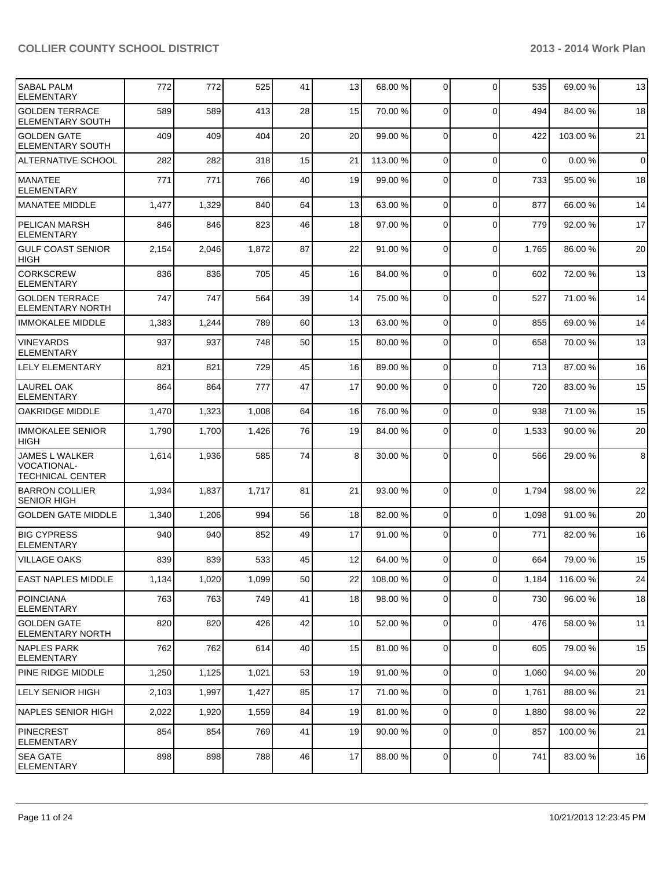| <b>SABAL PALM</b><br><b>ELEMENTARY</b>                          | 772   | 772   | 525   | 41 | 13 | 68.00 %  | 0           | $\Omega$    | 535         | 69.00 %  | 13          |
|-----------------------------------------------------------------|-------|-------|-------|----|----|----------|-------------|-------------|-------------|----------|-------------|
| <b>GOLDEN TERRACE</b><br>ELEMENTARY SOUTH                       | 589   | 589   | 413   | 28 | 15 | 70.00 %  | 0           | $\Omega$    | 494         | 84.00 %  | 18          |
| <b>GOLDEN GATE</b><br><b>ELEMENTARY SOUTH</b>                   | 409   | 409   | 404   | 20 | 20 | 99.00 %  | $\mathbf 0$ | $\Omega$    | 422         | 103.00%  | 21          |
| <b>ALTERNATIVE SCHOOL</b>                                       | 282   | 282   | 318   | 15 | 21 | 113.00 % | $\Omega$    | $\Omega$    | $\mathbf 0$ | 0.00%    | $\mathbf 0$ |
| MANATEE<br><b>ELEMENTARY</b>                                    | 771   | 771   | 766   | 40 | 19 | 99.00 %  | $\mathbf 0$ | $\Omega$    | 733         | 95.00 %  | 18          |
| <b>MANATEE MIDDLE</b>                                           | 1,477 | 1,329 | 840   | 64 | 13 | 63.00 %  | 0           | $\Omega$    | 877         | 66.00 %  | 14          |
| <b>PELICAN MARSH</b><br><b>ELEMENTARY</b>                       | 846   | 846   | 823   | 46 | 18 | 97.00 %  | 0           | $\Omega$    | 779         | 92.00 %  | 17          |
| <b>GULF COAST SENIOR</b><br>HIGH                                | 2,154 | 2,046 | 1,872 | 87 | 22 | 91.00 %  | $\Omega$    | $\Omega$    | 1,765       | 86.00 %  | 20          |
| <b>CORKSCREW</b><br><b>ELEMENTARY</b>                           | 836   | 836   | 705   | 45 | 16 | 84.00 %  | $\mathbf 0$ | $\Omega$    | 602         | 72.00 %  | 13          |
| <b>GOLDEN TERRACE</b><br><b>ELEMENTARY NORTH</b>                | 747   | 747   | 564   | 39 | 14 | 75.00 %  | $\mathbf 0$ | $\Omega$    | 527         | 71.00%   | 14          |
| <b>IMMOKALEE MIDDLE</b>                                         | 1,383 | 1,244 | 789   | 60 | 13 | 63.00 %  | 0           | $\Omega$    | 855         | 69.00 %  | 14          |
| <b>VINEYARDS</b><br><b>ELEMENTARY</b>                           | 937   | 937   | 748   | 50 | 15 | 80.00 %  | 0           | $\Omega$    | 658         | 70.00 %  | 13          |
| <b>LELY ELEMENTARY</b>                                          | 821   | 821   | 729   | 45 | 16 | 89.00 %  | $\mathbf 0$ | $\Omega$    | 713         | 87.00%   | 16          |
| <b>LAUREL OAK</b><br><b>ELEMENTARY</b>                          | 864   | 864   | 777   | 47 | 17 | 90.00 %  | $\Omega$    | $\Omega$    | 720         | 83.00 %  | 15          |
| <b>OAKRIDGE MIDDLE</b>                                          | 1,470 | 1,323 | 1,008 | 64 | 16 | 76.00 %  | $\mathbf 0$ | $\Omega$    | 938         | 71.00 %  | 15          |
| <b>IMMOKALEE SENIOR</b><br><b>HIGH</b>                          | 1,790 | 1,700 | 1,426 | 76 | 19 | 84.00 %  | 0           | $\Omega$    | 1,533       | 90.00 %  | 20          |
| JAMES L WALKER<br><b>VOCATIONAL-</b><br><b>TECHNICAL CENTER</b> | 1,614 | 1,936 | 585   | 74 | 8  | 30.00 %  | 0           | $\Omega$    | 566         | 29.00 %  | 8           |
| <b>BARRON COLLIER</b><br><b>SENIOR HIGH</b>                     | 1,934 | 1,837 | 1,717 | 81 | 21 | 93.00 %  | $\mathbf 0$ | $\Omega$    | 1,794       | 98.00 %  | 22          |
| <b>GOLDEN GATE MIDDLE</b>                                       | 1,340 | 1,206 | 994   | 56 | 18 | 82.00 %  | 0           | $\Omega$    | 1,098       | 91.00 %  | 20          |
| <b>BIG CYPRESS</b><br><b>ELEMENTARY</b>                         | 940   | 940   | 852   | 49 | 17 | 91.00 %  | 0           | $\Omega$    | 771         | 82.00 %  | 16          |
| <b>VILLAGE OAKS</b>                                             | 839   | 839   | 533   | 45 | 12 | 64.00 %  | 0           | $\Omega$    | 664         | 79.00 %  | 15          |
| <b>EAST NAPLES MIDDLE</b>                                       | 1,134 | 1,020 | 1,099 | 50 | 22 | 108.00 % | 0           | $\mathbf 0$ | 1,184       | 116.00 % | 24          |
| <b>POINCIANA</b><br><b>ELEMENTARY</b>                           | 763   | 763   | 749   | 41 | 18 | 98.00 %  | 0           | 0           | 730         | 96.00 %  | 18          |
| <b>GOLDEN GATE</b><br><b>ELEMENTARY NORTH</b>                   | 820   | 820   | 426   | 42 | 10 | 52.00 %  | 0           | $\mathbf 0$ | 476         | 58.00 %  | 11          |
| <b>NAPLES PARK</b><br><b>ELEMENTARY</b>                         | 762   | 762   | 614   | 40 | 15 | 81.00 %  | $\mathbf 0$ | $\mathbf 0$ | 605         | 79.00 %  | 15          |
| <b>PINE RIDGE MIDDLE</b>                                        | 1,250 | 1,125 | 1,021 | 53 | 19 | 91.00 %  | 0           | $\mathbf 0$ | 1,060       | 94.00%   | 20          |
| <b>LELY SENIOR HIGH</b>                                         | 2,103 | 1,997 | 1,427 | 85 | 17 | 71.00 %  | 0           | $\mathbf 0$ | 1,761       | 88.00 %  | 21          |
| <b>NAPLES SENIOR HIGH</b>                                       | 2,022 | 1,920 | 1,559 | 84 | 19 | 81.00 %  | 0           | $\mathbf 0$ | 1,880       | 98.00 %  | 22          |
| PINECREST<br><b>ELEMENTARY</b>                                  | 854   | 854   | 769   | 41 | 19 | 90.00 %  | 0           | $\mathbf 0$ | 857         | 100.00 % | 21          |
| <b>SEA GATE</b><br><b>ELEMENTARY</b>                            | 898   | 898   | 788   | 46 | 17 | 88.00 %  | 0           | 0           | 741         | 83.00 %  | 16          |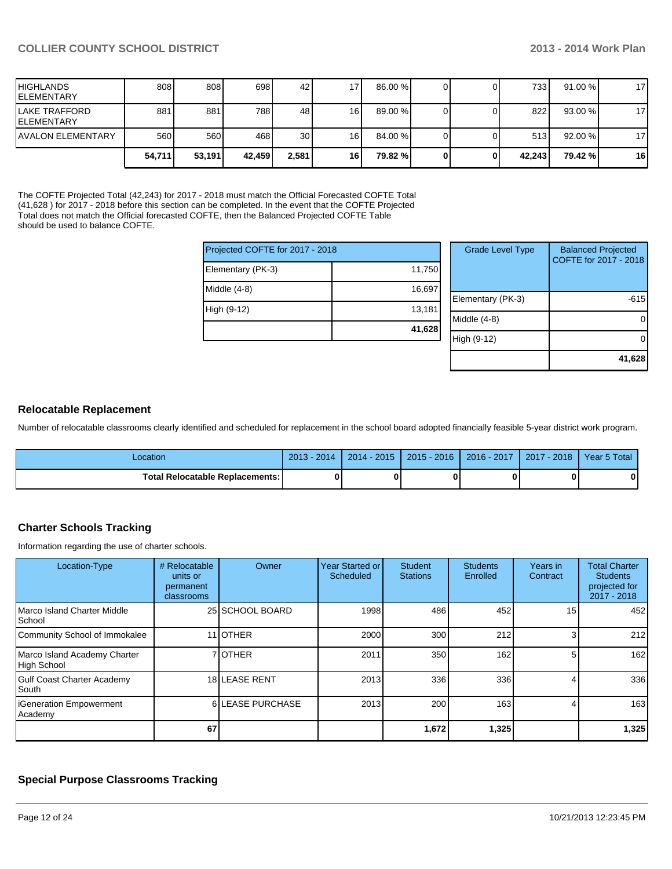| <b>HIGHLANDS</b><br><b>IELEMENTARY</b> | 808    | 808    | 698    | 42    | 71        | $86.00\%$ |  | 733 l  | 91.00%  | 17 |
|----------------------------------------|--------|--------|--------|-------|-----------|-----------|--|--------|---------|----|
| LAKE TRAFFORD<br><b>IELEMENTARY</b>    | 881    | 881    | 788    | 48    | 16 I      | $89.00\%$ |  | 822    | 93.00 % | 17 |
| <b>JAVALON ELEMENTARY</b>              | 560    | 560    | 468 I  | 30    | 16I       | 84.00 %   |  | 513    | 92.00 % | 17 |
|                                        | 54,711 | 53,191 | 42,459 | 2,581 | <b>16</b> | 79.82 %   |  | 42.243 | 79.42 % | 16 |

The COFTE Projected Total (42,243) for 2017 - 2018 must match the Official Forecasted COFTE Total (41,628 ) for 2017 - 2018 before this section can be completed. In the event that the COFTE Projected Total does not match the Official forecasted COFTE, then the Balanced Projected COFTE Table should be used to balance COFTE.

| Projected COFTE for 2017 - 2018 |        | Gı    |
|---------------------------------|--------|-------|
| Elementary (PK-3)               | 11,750 |       |
| Middle (4-8)                    | 16,697 | Elem  |
| High (9-12)                     | 13,181 | Middl |
|                                 | 41,628 | High  |
|                                 |        |       |

| <b>Grade Level Type</b> | <b>Balanced Projected</b><br>COFTE for 2017 - 2018 |
|-------------------------|----------------------------------------------------|
| Elementary (PK-3)       | -615                                               |
| Middle $(4-8)$          |                                                    |
| High (9-12)             |                                                    |
|                         | 41,628                                             |

#### **Relocatable Replacement**

Number of relocatable classrooms clearly identified and scheduled for replacement in the school board adopted financially feasible 5-year district work program.

| -ocation                          | $2013 -$<br>$-2014$ | $2014 - 2015$ | $2015 - 2016$ | $2016 - 2017$ | $-2018$<br>2017 | Year 5 Total |
|-----------------------------------|---------------------|---------------|---------------|---------------|-----------------|--------------|
| Total Relocatable Replacements: I | 0                   |               |               |               |                 |              |

#### **Charter Schools Tracking**

Information regarding the use of charter schools.

| Location-Type                                | # Relocatable<br>units or<br>permanent<br>classrooms | Owner            | <b>Year Started or</b><br>Scheduled | Student<br><b>Stations</b> | <b>Students</b><br>Enrolled | Years in<br>Contract | <b>Total Charter</b><br><b>Students</b><br>projected for<br>$2017 - 2018$ |
|----------------------------------------------|------------------------------------------------------|------------------|-------------------------------------|----------------------------|-----------------------------|----------------------|---------------------------------------------------------------------------|
| Marco Island Charter Middle<br><b>School</b> |                                                      | 25 SCHOOL BOARD  | 1998                                | 486                        | 452                         | 15                   | 452                                                                       |
| Community School of Immokalee                |                                                      | 11 <b>JOTHER</b> | 2000                                | 300                        | 212                         |                      | 212                                                                       |
| Marco Island Academy Charter<br>High School  |                                                      | 7 <b>OTHER</b>   | 2011                                | 350                        | 162                         |                      | 162 <sup>1</sup>                                                          |
| <b>Gulf Coast Charter Academy</b><br>l South |                                                      | 18 LEASE RENT    | 2013                                | 336                        | 336                         |                      | 336                                                                       |
| <b>IGeneration Empowerment</b><br>Academy    |                                                      | 6 LEASE PURCHASE | 2013                                | 200                        | 163                         |                      | 163I                                                                      |
|                                              | 67                                                   |                  |                                     | 1,672                      | 1,325                       |                      | 1,325                                                                     |

### **Special Purpose Classrooms Tracking**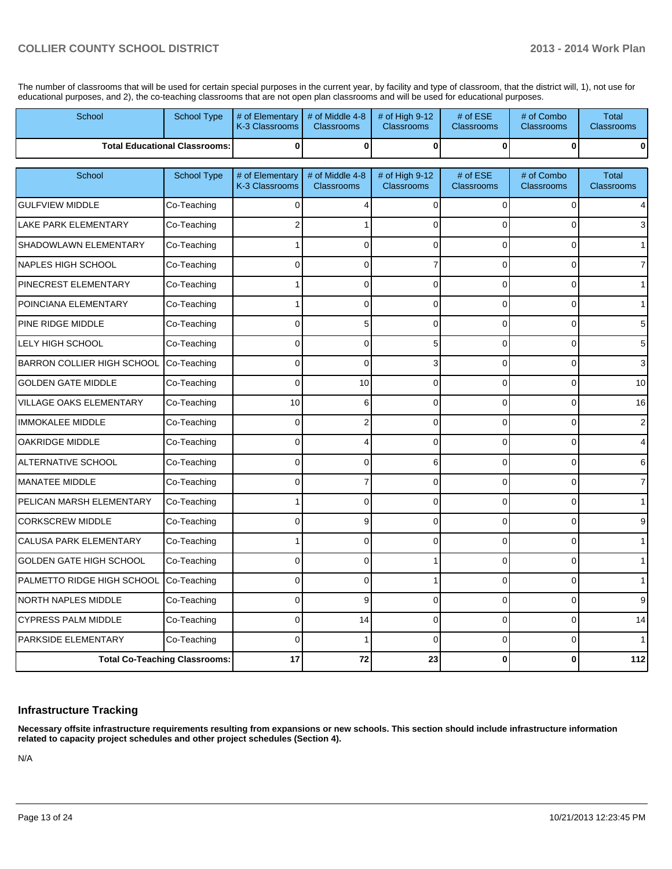The number of classrooms that will be used for certain special purposes in the current year, by facility and type of classroom, that the district will, 1), not use for educational purposes, and 2), the co-teaching classrooms that are not open plan classrooms and will be used for educational purposes.

| School                               | <b>School Type</b>                   | # of Elementary<br>K-3 Classrooms | # of Middle 4-8<br><b>Classrooms</b> | # of High $9-12$<br><b>Classrooms</b> | # of ESE<br><b>Classrooms</b> | # of Combo<br>Classrooms | <b>Total</b><br><b>Classrooms</b> |
|--------------------------------------|--------------------------------------|-----------------------------------|--------------------------------------|---------------------------------------|-------------------------------|--------------------------|-----------------------------------|
|                                      | <b>Total Educational Classrooms:</b> | $\bf{0}$                          | 0                                    | $\mathbf 0$                           | $\mathbf{0}$                  | 0                        | 0                                 |
| School                               | <b>School Type</b>                   | # of Elementary<br>K-3 Classrooms | # of Middle 4-8<br><b>Classrooms</b> | # of High 9-12<br><b>Classrooms</b>   | # of ESE<br><b>Classrooms</b> | # of Combo<br>Classrooms | <b>Total</b><br><b>Classrooms</b> |
| <b>GULFVIEW MIDDLE</b>               | Co-Teaching                          | $\Omega$                          | 4                                    | $\mathbf 0$                           | $\Omega$                      | 0                        | 4                                 |
| LAKE PARK ELEMENTARY                 | Co-Teaching                          | 2                                 |                                      | 0                                     | $\Omega$                      | $\Omega$                 |                                   |
| SHADOWLAWN ELEMENTARY                | Co-Teaching                          |                                   | 0                                    | 0                                     | $\Omega$                      | $\overline{0}$           |                                   |
| <b>NAPLES HIGH SCHOOL</b>            | Co-Teaching                          | $\Omega$                          | $\overline{0}$                       | 7                                     | $\Omega$                      | $\overline{0}$           |                                   |
| PINECREST ELEMENTARY                 | Co-Teaching                          |                                   | 0                                    | 0                                     | $\mathbf 0$                   | 0                        |                                   |
| POINCIANA ELEMENTARY                 | Co-Teaching                          |                                   | 0                                    | 0                                     | $\Omega$                      | $\overline{0}$           |                                   |
| PINE RIDGE MIDDLE                    | Co-Teaching                          | $\Omega$                          | 5                                    | 0                                     | $\mathbf 0$                   | 0                        |                                   |
| LELY HIGH SCHOOL                     | Co-Teaching                          | $\Omega$                          | 0                                    | 5                                     | $\Omega$                      | 0                        | 5                                 |
| BARRON COLLIER HIGH SCHOOL           | Co-Teaching                          | $\mathbf{0}$                      | $\overline{0}$                       | 3                                     | $\Omega$                      | $\overline{0}$           |                                   |
| <b>GOLDEN GATE MIDDLE</b>            | Co-Teaching                          | $\Omega$                          | 10                                   | 0                                     | $\Omega$                      | 0                        | 10                                |
| VILLAGE OAKS ELEMENTARY              | Co-Teaching                          | 10                                | 6                                    | 0                                     | $\Omega$                      | $\overline{0}$           | 16                                |
| <b>IMMOKALEE MIDDLE</b>              | Co-Teaching                          | $\mathbf 0$                       | $\overline{c}$                       | 0                                     | $\overline{0}$                | 0                        |                                   |
| <b>OAKRIDGE MIDDLE</b>               | Co-Teaching                          | $\Omega$                          | 4                                    | 0                                     | $\Omega$                      | 0                        |                                   |
| ALTERNATIVE SCHOOL                   | Co-Teaching                          | $\Omega$                          | $\overline{0}$                       | 6                                     | $\Omega$                      | $\overline{0}$           | 6                                 |
| <b>MANATEE MIDDLE</b>                | Co-Teaching                          | $\overline{0}$                    | $\overline{7}$                       | 0                                     | $\mathbf 0$                   | 0                        |                                   |
| PELICAN MARSH ELEMENTARY             | Co-Teaching                          |                                   | 0                                    | 0                                     | $\Omega$                      | 0                        |                                   |
| <b>CORKSCREW MIDDLE</b>              | Co-Teaching                          | $\Omega$                          | 9                                    | 0                                     | $\Omega$                      | 0                        |                                   |
| <b>CALUSA PARK ELEMENTARY</b>        | Co-Teaching                          |                                   | 0                                    | 0                                     | $\Omega$                      | 0                        |                                   |
| GOLDEN GATE HIGH SCHOOL              | Co-Teaching                          | $\Omega$                          | $\Omega$                             |                                       | $\Omega$                      | $\overline{0}$           |                                   |
| PALMETTO RIDGE HIGH SCHOOL           | Co-Teaching                          | $\Omega$                          | 0                                    | 1                                     | $\Omega$                      | 0                        |                                   |
| <b>NORTH NAPLES MIDDLE</b>           | Co-Teaching                          | $\Omega$                          | 9                                    | 0                                     | $\Omega$                      | 0                        |                                   |
| <b>CYPRESS PALM MIDDLE</b>           | Co-Teaching                          | $\Omega$                          | 14                                   | 0                                     | $\Omega$                      | 0                        | 14                                |
| PARKSIDE ELEMENTARY                  | Co-Teaching                          | $\Omega$                          |                                      | 0                                     | $\Omega$                      | 0                        |                                   |
| <b>Total Co-Teaching Classrooms:</b> |                                      | 17                                | 72                                   | 23                                    | $\bf{0}$                      | 0                        | $112$                             |

#### **Infrastructure Tracking**

**Necessary offsite infrastructure requirements resulting from expansions or new schools. This section should include infrastructure information related to capacity project schedules and other project schedules (Section 4).**

N/A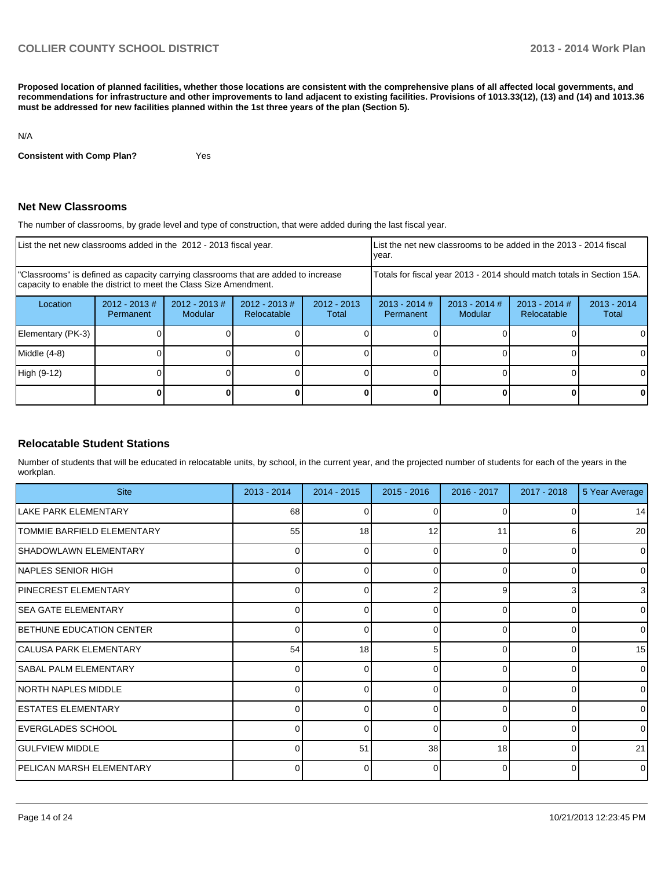**Proposed location of planned facilities, whether those locations are consistent with the comprehensive plans of all affected local governments, and recommendations for infrastructure and other improvements to land adjacent to existing facilities. Provisions of 1013.33(12), (13) and (14) and 1013.36 must be addressed for new facilities planned within the 1st three years of the plan (Section 5).**

#### N/A

**Consistent with Comp Plan?** Yes

#### **Net New Classrooms**

The number of classrooms, by grade level and type of construction, that were added during the last fiscal year.

| List the net new classrooms added in the 2012 - 2013 fiscal year.                                                                                       |                               |                                   |                                 | vear.                                                                  |                              | List the net new classrooms to be added in the 2013 - 2014 fiscal |                                |                        |
|---------------------------------------------------------------------------------------------------------------------------------------------------------|-------------------------------|-----------------------------------|---------------------------------|------------------------------------------------------------------------|------------------------------|-------------------------------------------------------------------|--------------------------------|------------------------|
| "Classrooms" is defined as capacity carrying classrooms that are added to increase<br>capacity to enable the district to meet the Class Size Amendment. |                               |                                   |                                 | Totals for fiscal year 2013 - 2014 should match totals in Section 15A. |                              |                                                                   |                                |                        |
| Location                                                                                                                                                | $2012 - 2013 \#$<br>Permanent | $2012 - 2013$ #<br><b>Modular</b> | $2012 - 2013 \#$<br>Relocatable | $2012 - 2013$<br>Total                                                 | $2013 - 2014$ #<br>Permanent | $2013 - 2014$ #<br>Modular                                        | $2013 - 2014$ #<br>Relocatable | $2013 - 2014$<br>Total |
| Elementary (PK-3)                                                                                                                                       |                               |                                   |                                 |                                                                        |                              |                                                                   |                                |                        |
| Middle (4-8)                                                                                                                                            |                               |                                   |                                 |                                                                        |                              |                                                                   |                                |                        |
| High (9-12)                                                                                                                                             |                               |                                   |                                 |                                                                        |                              |                                                                   |                                | 0                      |
|                                                                                                                                                         |                               |                                   |                                 |                                                                        |                              |                                                                   |                                |                        |

#### **Relocatable Student Stations**

Number of students that will be educated in relocatable units, by school, in the current year, and the projected number of students for each of the years in the workplan.

| <b>Site</b>                       | 2013 - 2014  | $2014 - 2015$ | $2015 - 2016$ | 2016 - 2017 | $2017 - 2018$ | 5 Year Average |
|-----------------------------------|--------------|---------------|---------------|-------------|---------------|----------------|
| LAKE PARK ELEMENTARY              | 68           |               |               |             |               | 14             |
| <b>TOMMIE BARFIELD ELEMENTARY</b> | 55           | 18            | 12            | 11          | 6             | 20             |
| <b>SHADOWLAWN ELEMENTARY</b>      | <sup>0</sup> | ∩             |               | 0           | $\Omega$      | $\overline{0}$ |
| <b>INAPLES SENIOR HIGH</b>        | 0            | 0             | 0             | 0           | $\Omega$      | $\overline{0}$ |
| PINECREST ELEMENTARY              |              | ∩             |               | 9           | 3             | $\overline{3}$ |
| lSEA GATE ELEMENTARY              | $\Omega$     | 0             | 0             | $\Omega$    | $\Omega$      | $\overline{0}$ |
| BETHUNE EDUCATION CENTER          |              | ∩             |               | U           | $\Omega$      | $\overline{0}$ |
| CALUSA PARK ELEMENTARY            | 54           | 18            | 5             | $\Omega$    | $\Omega$      | 15             |
| <b>SABAL PALM ELEMENTARY</b>      |              |               |               | U           | O             | $\overline{0}$ |
| INORTH NAPLES MIDDLE              | 0            | 0             | 0             | $\Omega$    | 0             | $\overline{0}$ |
| <b>ESTATES ELEMENTARY</b>         |              |               |               | U           | <sup>0</sup>  | $\Omega$       |
| <b>IEVERGLADES SCHOOL</b>         | $\Omega$     | 0             | 0             | $\Omega$    | $\Omega$      | $\overline{0}$ |
| <b>I</b> GULFVIEW MIDDLE          |              | 51            | 38            | 18          | $\Omega$      | 21             |
| <b>PELICAN MARSH ELEMENTARY</b>   |              | ∩             | O             | $\Omega$    | O             | $\overline{0}$ |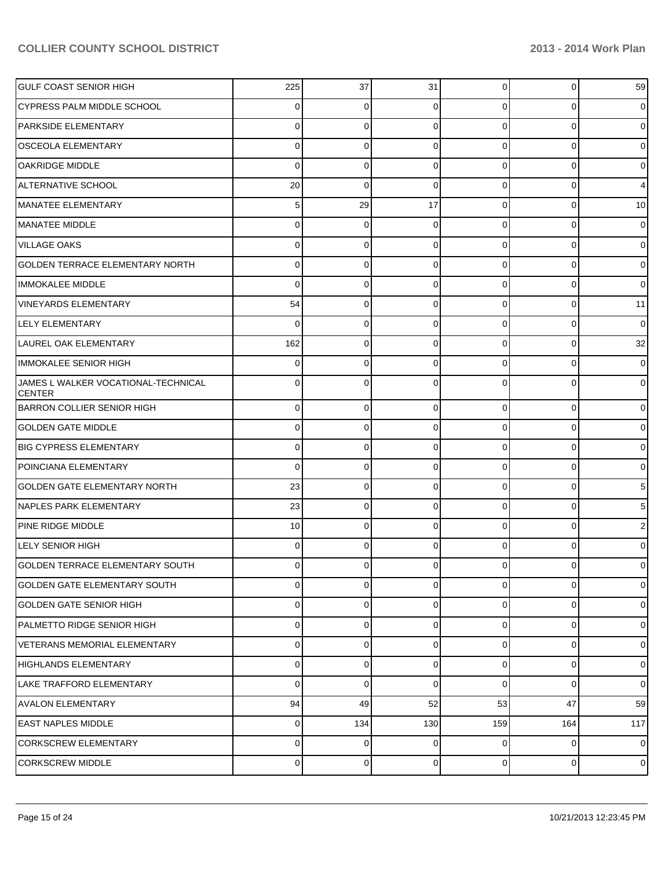| <b>GULF COAST SENIOR HIGH</b>                        | 225          | 37             | 31             | $\overline{0}$ | $\mathbf{0}$ | 59             |
|------------------------------------------------------|--------------|----------------|----------------|----------------|--------------|----------------|
| CYPRESS PALM MIDDLE SCHOOL                           | 0            | $\Omega$       | 0              | $\Omega$       | $\Omega$     | $\overline{0}$ |
| <b>PARKSIDE ELEMENTARY</b>                           | 0            | 0              | $\Omega$       | $\Omega$       | $\Omega$     | $\overline{0}$ |
| <b>OSCEOLA ELEMENTARY</b>                            | 0            | 0              | $\Omega$       | $\Omega$       | $\Omega$     | $\overline{0}$ |
| <b>OAKRIDGE MIDDLE</b>                               | 0            | 0              | 0              | $\Omega$       | $\Omega$     | $\overline{0}$ |
| ALTERNATIVE SCHOOL                                   | 20           | $\Omega$       | $\Omega$       | $\Omega$       | $\Omega$     | 4              |
| MANATEE ELEMENTARY                                   | 5            | 29             | 17             | $\Omega$       | $\Omega$     | 10             |
| MANATEE MIDDLE                                       | 0            | 0              | 0              | $\Omega$       | $\Omega$     | $\overline{0}$ |
| <b>VILLAGE OAKS</b>                                  | 0            | 0              | 0              | $\Omega$       | $\Omega$     | $\overline{0}$ |
| GOLDEN TERRACE ELEMENTARY NORTH                      | 0            | $\Omega$       | $\Omega$       | $\Omega$       | $\Omega$     | $\overline{0}$ |
| <b>IMMOKALEE MIDDLE</b>                              | 0            | 0              | $\Omega$       | $\Omega$       | $\Omega$     | $\overline{0}$ |
| <b>VINEYARDS ELEMENTARY</b>                          | 54           | 0              | 0              | $\Omega$       | $\Omega$     | 11             |
| <b>LELY ELEMENTARY</b>                               | 0            | 0              | 0              | $\Omega$       | $\Omega$     | $\mathbf 0$    |
| LAUREL OAK ELEMENTARY                                | 162          | $\mathbf 0$    | $\Omega$       | $\Omega$       | $\mathbf 0$  | 32             |
| IMMOKALEE SENIOR HIGH                                | 0            | 0              | 0              | $\Omega$       | $\Omega$     | $\overline{0}$ |
| JAMES L WALKER VOCATIONAL-TECHNICAL<br><b>CENTER</b> | <sup>0</sup> | 0              | 0              | U              | 0            | $\overline{0}$ |
| <b>BARRON COLLIER SENIOR HIGH</b>                    | $\Omega$     | $\mathbf 0$    | 0              | $\Omega$       | $\Omega$     | $\overline{0}$ |
| <b>GOLDEN GATE MIDDLE</b>                            | 0            | 0              | 0              | $\Omega$       | $\Omega$     | $\overline{0}$ |
| <b>BIG CYPRESS ELEMENTARY</b>                        | 0            | $\mathbf 0$    | 0              | $\overline{0}$ | 0            | $\overline{0}$ |
| POINCIANA ELEMENTARY                                 | $\Omega$     | $\mathbf 0$    | 0              | $\Omega$       | $\Omega$     | $\overline{0}$ |
| <b>GOLDEN GATE ELEMENTARY NORTH</b>                  | 23           | $\mathbf 0$    | 0              | $\Omega$       | 0            | 5              |
| <b>INAPLES PARK ELEMENTARY</b>                       | 23           | 0              | 0              | $\Omega$       | $\Omega$     | 5              |
| <b>PINE RIDGE MIDDLE</b>                             | 10           | $\mathbf 0$    | 0              | $\Omega$       | $\Omega$     | $\overline{2}$ |
| <b>LELY SENIOR HIGH</b>                              | 0            | 0              | $\Omega$       | $\Omega$       | $\Omega$     | 0              |
| GOLDEN TERRACE ELEMENTARY SOUTH                      | $\Omega$     | 0              | 0              | 0              | 0            | $\overline{0}$ |
| <b>GOLDEN GATE ELEMENTARY SOUTH</b>                  | $\Omega$     | $\mathbf 0$    | 0              | $\Omega$       | $\Omega$     | $\mathbf{O}$   |
| <b>GOLDEN GATE SENIOR HIGH</b>                       | $\Omega$     | $\overline{0}$ | $\overline{0}$ | $\overline{0}$ | $\mathbf 0$  | $\overline{0}$ |
| PALMETTO RIDGE SENIOR HIGH                           | $\Omega$     | $\mathbf 0$    | 0              | $\overline{0}$ | $\mathbf 0$  | $\overline{0}$ |
| VETERANS MEMORIAL ELEMENTARY                         | $\Omega$     | $\mathbf 0$    | 0              | $\overline{0}$ | $\mathbf 0$  | $\overline{0}$ |
| HIGHLANDS ELEMENTARY                                 | $\Omega$     | $\mathbf 0$    | 0              | $\overline{0}$ | $\mathbf 0$  | $\overline{0}$ |
| LAKE TRAFFORD ELEMENTARY                             | $\Omega$     | $\mathbf 0$    | $\mathbf 0$    | $\Omega$       | $\Omega$     | $\overline{0}$ |
| <b>AVALON ELEMENTARY</b>                             | 94           | 49             | 52             | 53             | 47           | 59             |
| <b>EAST NAPLES MIDDLE</b>                            | $\Omega$     | 134            | 130            | 159            | 164          | 117            |
| CORKSCREW ELEMENTARY                                 | $\Omega$     | $\mathbf 0$    | 0              | $\overline{0}$ | $\mathbf 0$  | $\overline{0}$ |
| <b>CORKSCREW MIDDLE</b>                              | $\Omega$     | $\mathbf 0$    | 0              | $\overline{0}$ | $\pmb{0}$    | $\overline{0}$ |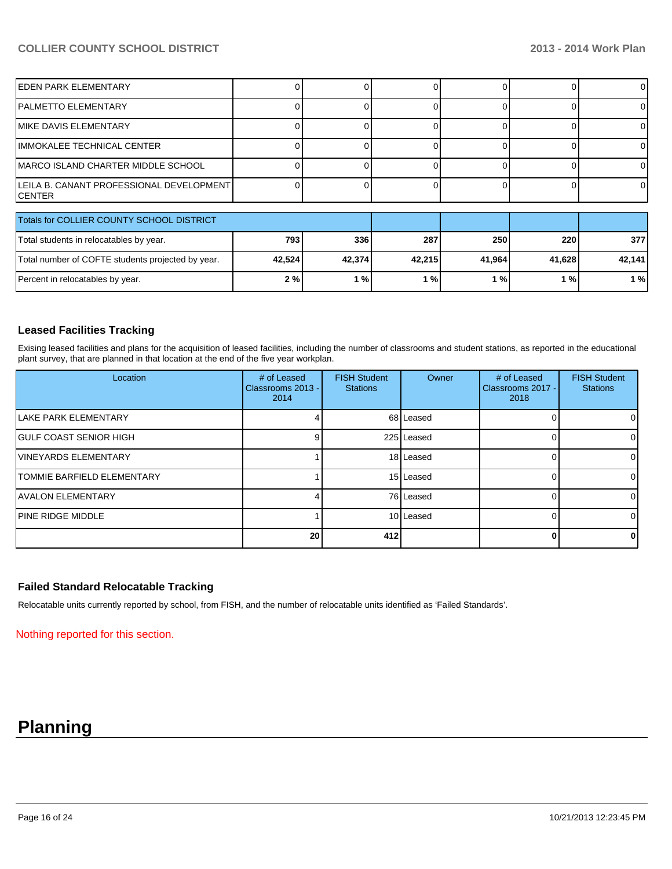| <b>EDEN PARK ELEMENTARY</b>                           |        |        |        |        |        | $\Omega$ |
|-------------------------------------------------------|--------|--------|--------|--------|--------|----------|
| IPALMETTO ELEMENTARY                                  |        |        |        |        |        | 0        |
| MIKE DAVIS ELEMENTARY                                 |        |        |        |        |        | 0        |
| IMMOKALEE TECHNICAL CENTER                            |        |        |        |        |        | $\Omega$ |
| IMARCO ISLAND CHARTER MIDDLE SCHOOL                   |        |        |        |        |        | $\Omega$ |
| LEILA B. CANANT PROFESSIONAL DEVELOPMENT I<br>ICENTER |        |        |        |        |        | $\Omega$ |
| Totals for COLLIER COUNTY SCHOOL DISTRICT             |        |        |        |        |        |          |
| Total students in relocatables by year.               | 793    | 336    | 287    | 250    | 220    | 377I     |
| Total number of COFTE students projected by year.     | 42,524 | 42,374 | 42,215 | 41,964 | 41,628 | 42,141   |
| Percent in relocatables by year.                      | 2%     | 1%     | 1%     | 1%     | 1%     | 1%       |

#### **Leased Facilities Tracking**

Exising leased facilities and plans for the acquisition of leased facilities, including the number of classrooms and student stations, as reported in the educational plant survey, that are planned in that location at the end of the five year workplan.

| Location                          | # of Leased<br>Classrooms 2013 - I<br>2014 | <b>FISH Student</b><br><b>Stations</b> | Owner      | # of Leased<br>Classrooms 2017 -<br>2018 | <b>FISH Student</b><br><b>Stations</b> |
|-----------------------------------|--------------------------------------------|----------------------------------------|------------|------------------------------------------|----------------------------------------|
| <b>ILAKE PARK ELEMENTARY</b>      |                                            |                                        | 68 Leased  |                                          |                                        |
| IGULF COAST SENIOR HIGH           |                                            |                                        | 225 Leased |                                          |                                        |
| <b>IVINEYARDS ELEMENTARY</b>      |                                            |                                        | 18 Leased  |                                          |                                        |
| <b>TOMMIE BARFIELD ELEMENTARY</b> |                                            |                                        | 15 Leased  |                                          |                                        |
| <b>JAVALON ELEMENTARY</b>         |                                            |                                        | 76 Leased  |                                          |                                        |
| <b>PINE RIDGE MIDDLE</b>          |                                            |                                        | 10 Leased  |                                          |                                        |
|                                   | 20                                         | 412                                    |            | 0                                        |                                        |

#### **Failed Standard Relocatable Tracking**

Relocatable units currently reported by school, from FISH, and the number of relocatable units identified as 'Failed Standards'.

Nothing reported for this section.

# **Planning**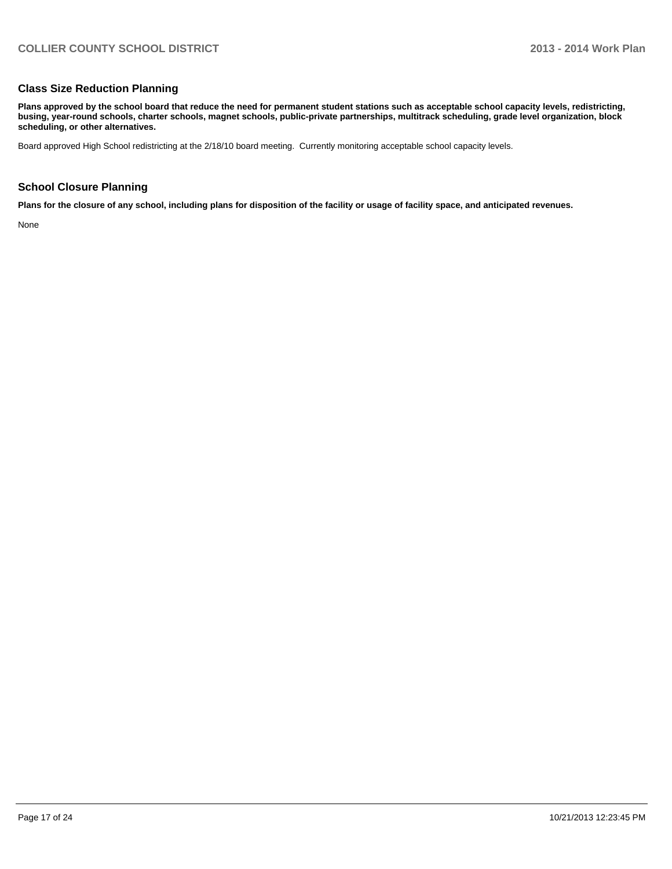#### **Class Size Reduction Planning**

**Plans approved by the school board that reduce the need for permanent student stations such as acceptable school capacity levels, redistricting, busing, year-round schools, charter schools, magnet schools, public-private partnerships, multitrack scheduling, grade level organization, block scheduling, or other alternatives.**

Board approved High School redistricting at the 2/18/10 board meeting. Currently monitoring acceptable school capacity levels.

#### **School Closure Planning**

**Plans for the closure of any school, including plans for disposition of the facility or usage of facility space, and anticipated revenues.**

None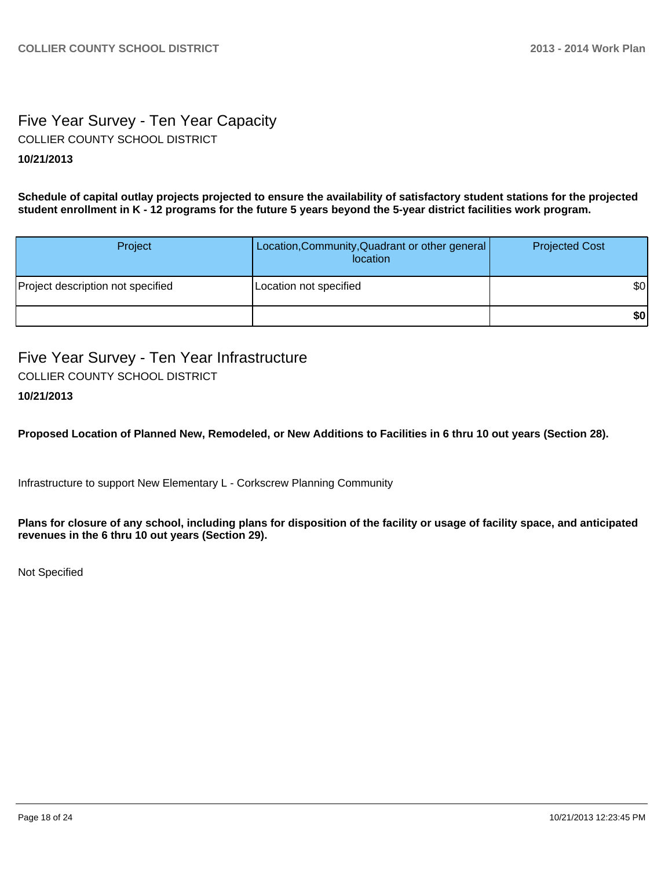# Five Year Survey - Ten Year Capacity COLLIER COUNTY SCHOOL DISTRICT

## **10/21/2013**

**Schedule of capital outlay projects projected to ensure the availability of satisfactory student stations for the projected student enrollment in K - 12 programs for the future 5 years beyond the 5-year district facilities work program.**

| Project                           | Location, Community, Quadrant or other general<br>location | <b>Projected Cost</b> |
|-----------------------------------|------------------------------------------------------------|-----------------------|
| Project description not specified | Location not specified                                     | \$0                   |
|                                   |                                                            | \$0                   |

Five Year Survey - Ten Year Infrastructure COLLIER COUNTY SCHOOL DISTRICT

## **10/21/2013**

**Proposed Location of Planned New, Remodeled, or New Additions to Facilities in 6 thru 10 out years (Section 28).**

Infrastructure to support New Elementary L - Corkscrew Planning Community

**Plans for closure of any school, including plans for disposition of the facility or usage of facility space, and anticipated revenues in the 6 thru 10 out years (Section 29).**

Not Specified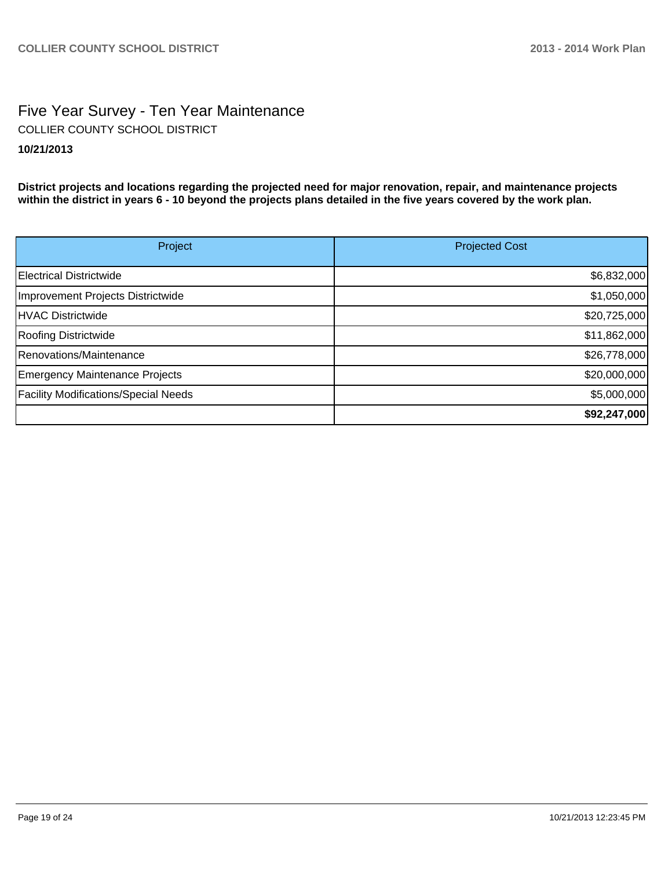# Five Year Survey - Ten Year Maintenance **10/21/2013** COLLIER COUNTY SCHOOL DISTRICT

**District projects and locations regarding the projected need for major renovation, repair, and maintenance projects within the district in years 6 - 10 beyond the projects plans detailed in the five years covered by the work plan.**

| Project                                     | <b>Projected Cost</b> |
|---------------------------------------------|-----------------------|
| Electrical Districtwide                     | \$6,832,000           |
| Improvement Projects Districtwide           | \$1,050,000           |
| HVAC Districtwide                           | \$20,725,000          |
| Roofing Districtwide                        | \$11,862,000          |
| Renovations/Maintenance                     | \$26,778,000          |
| <b>Emergency Maintenance Projects</b>       | \$20,000,000          |
| <b>Facility Modifications/Special Needs</b> | \$5,000,000           |
|                                             | \$92,247,000          |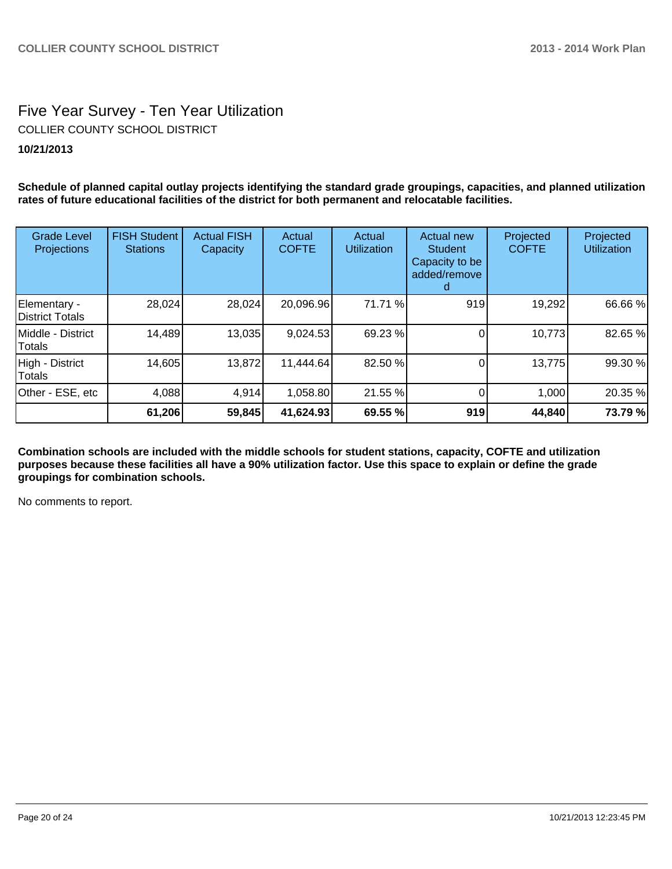# Five Year Survey - Ten Year Utilization **10/21/2013** COLLIER COUNTY SCHOOL DISTRICT

**Schedule of planned capital outlay projects identifying the standard grade groupings, capacities, and planned utilization rates of future educational facilities of the district for both permanent and relocatable facilities.**

| <b>Grade Level</b><br>Projections | <b>FISH Student</b><br><b>Stations</b> | <b>Actual FISH</b><br>Capacity | Actual<br><b>COFTE</b> | Actual<br><b>Utilization</b> | <b>Actual new</b><br>Student<br>Capacity to be<br>added/remove | Projected<br><b>COFTE</b> | Projected<br><b>Utilization</b> |
|-----------------------------------|----------------------------------------|--------------------------------|------------------------|------------------------------|----------------------------------------------------------------|---------------------------|---------------------------------|
| Elementary -<br>District Totals   | 28,024                                 | 28,024                         | 20,096.96              | 71.71 %                      | 919                                                            | 19,292                    | 66.66 %                         |
| IMiddle - District<br>Totals      | 14,489                                 | 13,035                         | 9,024.53               | 69.23 %                      |                                                                | 10,773                    | 82.65 %                         |
| High - District<br><b>Totals</b>  | 14,605                                 | 13,872                         | 11,444.64              | 82.50 %                      |                                                                | 13,775                    | 99.30 %                         |
| Other - ESE, etc                  | 4,088                                  | 4,914                          | 1,058.80               | 21.55 %                      |                                                                | 1,000                     | 20.35 %                         |
|                                   | 61,206                                 | 59,845                         | 41,624.93              | 69.55 %                      | 919                                                            | 44,840                    | 73.79 %                         |

**Combination schools are included with the middle schools for student stations, capacity, COFTE and utilization purposes because these facilities all have a 90% utilization factor. Use this space to explain or define the grade groupings for combination schools.**

No comments to report.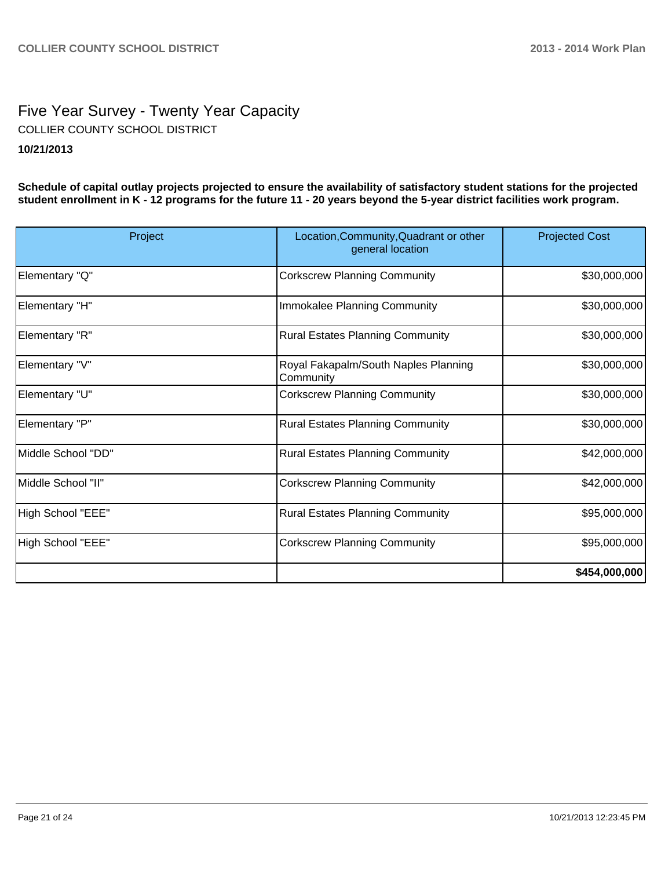# Five Year Survey - Twenty Year Capacity **10/21/2013** COLLIER COUNTY SCHOOL DISTRICT

**Schedule of capital outlay projects projected to ensure the availability of satisfactory student stations for the projected student enrollment in K - 12 programs for the future 11 - 20 years beyond the 5-year district facilities work program.**

| Project            | Location, Community, Quadrant or other<br>general location | <b>Projected Cost</b> |
|--------------------|------------------------------------------------------------|-----------------------|
| Elementary "Q"     | <b>Corkscrew Planning Community</b>                        | \$30,000,000          |
| Elementary "H"     | Immokalee Planning Community                               | \$30,000,000          |
| Elementary "R"     | <b>Rural Estates Planning Community</b>                    | \$30,000,000          |
| Elementary "V"     | Royal Fakapalm/South Naples Planning<br>Community          | \$30,000,000          |
| Elementary "U"     | <b>Corkscrew Planning Community</b>                        | \$30,000,000          |
| Elementary "P"     | <b>Rural Estates Planning Community</b>                    | \$30,000,000          |
| Middle School "DD" | <b>Rural Estates Planning Community</b>                    | \$42,000,000          |
| Middle School "II" | <b>Corkscrew Planning Community</b>                        | \$42,000,000          |
| High School "EEE"  | <b>Rural Estates Planning Community</b>                    | \$95,000,000          |
| High School "EEE"  | <b>Corkscrew Planning Community</b>                        | \$95,000,000          |
|                    |                                                            | \$454,000,000         |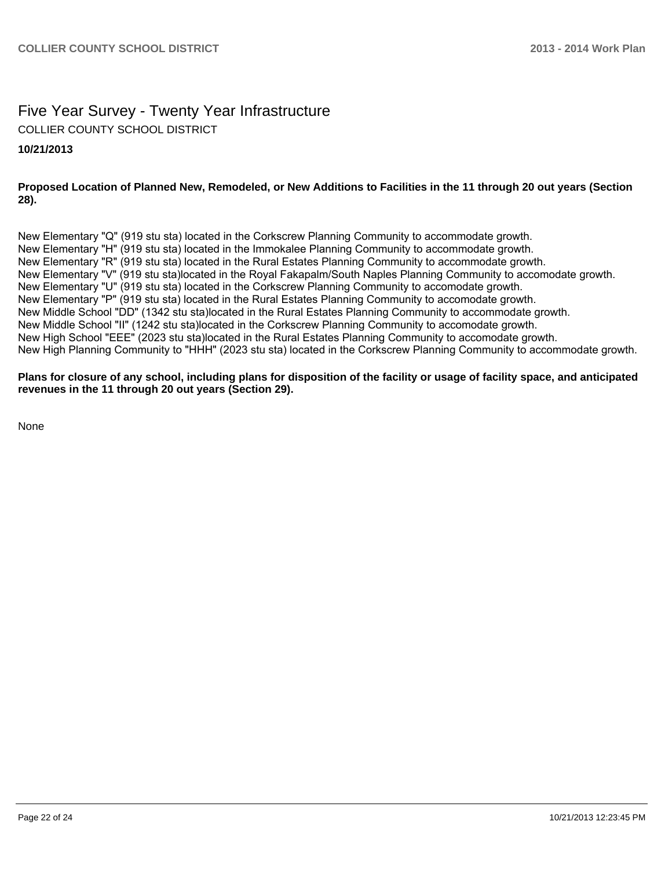# Five Year Survey - Twenty Year Infrastructure COLLIER COUNTY SCHOOL DISTRICT

#### **10/21/2013**

#### **Proposed Location of Planned New, Remodeled, or New Additions to Facilities in the 11 through 20 out years (Section 28).**

New Elementary "Q" (919 stu sta) located in the Corkscrew Planning Community to accommodate growth. New Elementary "H" (919 stu sta) located in the Immokalee Planning Community to accommodate growth. New Elementary "R" (919 stu sta) located in the Rural Estates Planning Community to accommodate growth. New Elementary "V" (919 stu sta)located in the Royal Fakapalm/South Naples Planning Community to accomodate growth. New Elementary "U" (919 stu sta) located in the Corkscrew Planning Community to accomodate growth. New Elementary "P" (919 stu sta) located in the Rural Estates Planning Community to accomodate growth. New Middle School "DD" (1342 stu sta)located in the Rural Estates Planning Community to accommodate growth. New Middle School "II" (1242 stu sta)located in the Corkscrew Planning Community to accomodate growth. New High School "EEE" (2023 stu sta)located in the Rural Estates Planning Community to accomodate growth. New High Planning Community to "HHH" (2023 stu sta) located in the Corkscrew Planning Community to accommodate growth.

#### **Plans for closure of any school, including plans for disposition of the facility or usage of facility space, and anticipated revenues in the 11 through 20 out years (Section 29).**

None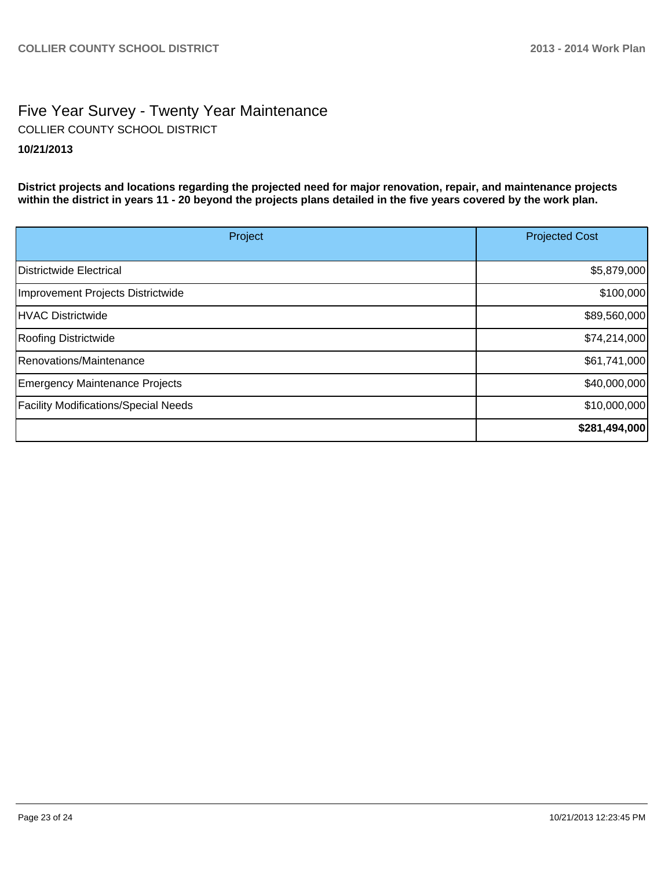# Five Year Survey - Twenty Year Maintenance **10/21/2013** COLLIER COUNTY SCHOOL DISTRICT

**District projects and locations regarding the projected need for major renovation, repair, and maintenance projects within the district in years 11 - 20 beyond the projects plans detailed in the five years covered by the work plan.**

| Project                                     | <b>Projected Cost</b> |
|---------------------------------------------|-----------------------|
|                                             |                       |
| Districtwide Electrical                     | \$5,879,000           |
| Improvement Projects Districtwide           | \$100,000             |
| HVAC Districtwide                           | \$89,560,000          |
| <b>Roofing Districtwide</b>                 | \$74,214,000          |
| Renovations/Maintenance                     | \$61,741,000          |
| Emergency Maintenance Projects              | \$40,000,000          |
| <b>Facility Modifications/Special Needs</b> | \$10,000,000          |
|                                             | \$281,494,000         |